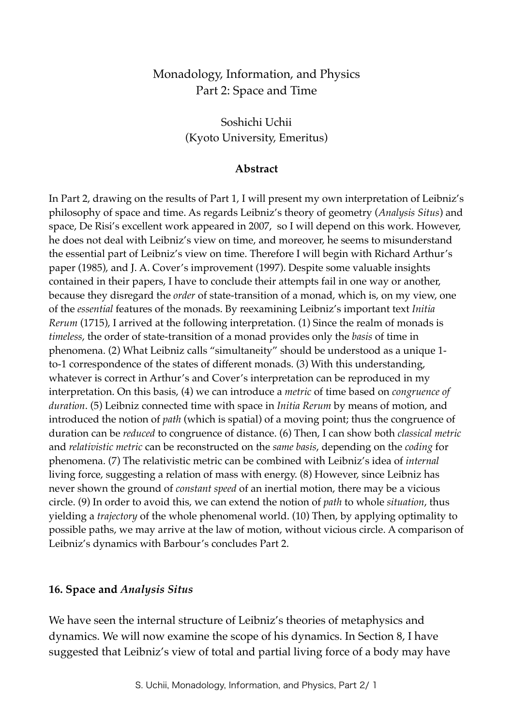# Monadology, Information, and Physics Part 2: Space and Time

Soshichi Uchii (Kyoto University, Emeritus)

#### **Abstract**

In Part 2, drawing on the results of Part 1, I will present my own interpretation of Leibniz's philosophy of space and time. As regards Leibniz's theory of geometry (*Analysis Situs*) and space, De Risi's excellent work appeared in 2007, so I will depend on this work. However, he does not deal with Leibniz's view on time, and moreover, he seems to misunderstand the essential part of Leibniz's view on time. Therefore I will begin with Richard Arthur's paper (1985), and J. A. Cover's improvement (1997). Despite some valuable insights contained in their papers, I have to conclude their attempts fail in one way or another, because they disregard the *order* of state-transition of a monad, which is, on my view, one of the *essential* features of the monads. By reexamining Leibniz's important text *Initia Rerum* (1715), I arrived at the following interpretation. (1) Since the realm of monads is *timeless*, the order of state-transition of a monad provides only the *basis* of time in phenomena. (2) What Leibniz calls "simultaneity" should be understood as a unique 1 to-1 correspondence of the states of different monads. (3) With this understanding, whatever is correct in Arthur's and Cover's interpretation can be reproduced in my interpretation. On this basis, (4) we can introduce a *metric* of time based on *congruence of duration*. (5) Leibniz connected time with space in *Initia Rerum* by means of motion, and introduced the notion of *path* (which is spatial) of a moving point; thus the congruence of duration can be *reduced* to congruence of distance. (6) Then, I can show both *classical metric* and *relativistic metric* can be reconstructed on the *same basis*, depending on the *coding* for phenomena. (7) The relativistic metric can be combined with Leibniz's idea of *internal* living force, suggesting a relation of mass with energy. (8) However, since Leibniz has never shown the ground of *constant speed* of an inertial motion, there may be a vicious circle. (9) In order to avoid this, we can extend the notion of *path* to whole *situation*, thus yielding a *trajectory* of the whole phenomenal world. (10) Then, by applying optimality to possible paths, we may arrive at the law of motion, without vicious circle. A comparison of Leibniz's dynamics with Barbour's concludes Part 2.

#### **16. Space and** *Analysis Situs*

We have seen the internal structure of Leibniz's theories of metaphysics and dynamics. We will now examine the scope of his dynamics. In Section 8, I have suggested that Leibniz's view of total and partial living force of a body may have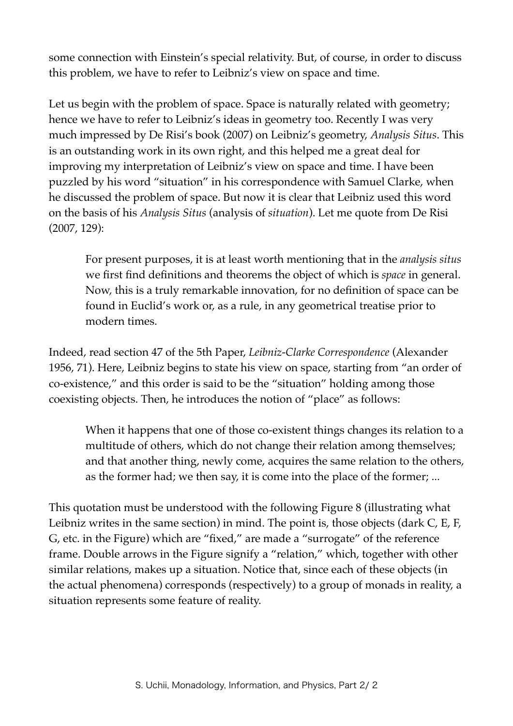some connection with Einstein's special relativity. But, of course, in order to discuss this problem, we have to refer to Leibniz's view on space and time.

Let us begin with the problem of space. Space is naturally related with geometry; hence we have to refer to Leibniz's ideas in geometry too. Recently I was very much impressed by De Risi's book (2007) on Leibniz's geometry, *Analysis Situs*. This is an outstanding work in its own right, and this helped me a great deal for improving my interpretation of Leibniz's view on space and time. I have been puzzled by his word "situation" in his correspondence with Samuel Clarke, when he discussed the problem of space. But now it is clear that Leibniz used this word on the basis of his *Analysis Situs* (analysis of *situation*). Let me quote from De Risi (2007, 129):

For present purposes, it is at least worth mentioning that in the *analysis situs* we first find definitions and theorems the object of which is *space* in general. Now, this is a truly remarkable innovation, for no definition of space can be found in Euclid's work or, as a rule, in any geometrical treatise prior to modern times.

Indeed, read section 47 of the 5th Paper, *Leibniz-Clarke Correspondence* (Alexander 1956, 71). Here, Leibniz begins to state his view on space, starting from "an order of co-existence," and this order is said to be the "situation" holding among those coexisting objects. Then, he introduces the notion of "place" as follows:

When it happens that one of those co-existent things changes its relation to a multitude of others, which do not change their relation among themselves; and that another thing, newly come, acquires the same relation to the others, as the former had; we then say, it is come into the place of the former; ...

This quotation must be understood with the following Figure 8 (illustrating what Leibniz writes in the same section) in mind. The point is, those objects (dark C, E, F, G, etc. in the Figure) which are "fixed," are made a "surrogate" of the reference frame. Double arrows in the Figure signify a "relation," which, together with other similar relations, makes up a situation. Notice that, since each of these objects (in the actual phenomena) corresponds (respectively) to a group of monads in reality, a situation represents some feature of reality.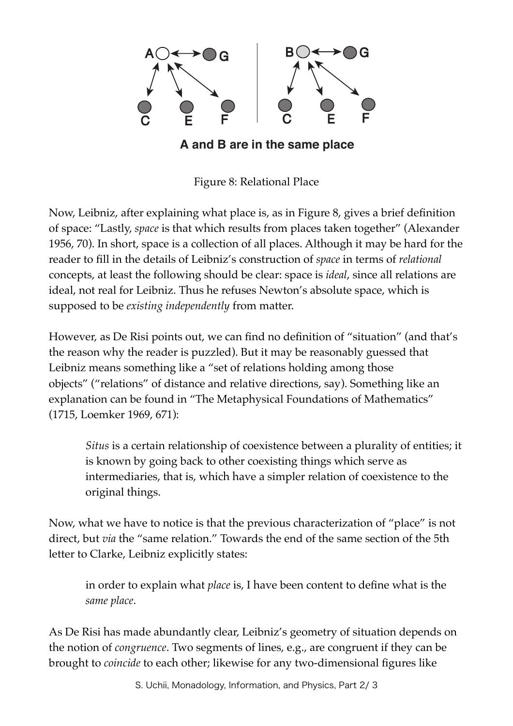

# **A and B are in the same place**

Figure 8: Relational Place

Now, Leibniz, after explaining what place is, as in Figure 8, gives a brief definition of space: "Lastly, *space* is that which results from places taken together" (Alexander 1956, 70). In short, space is a collection of all places. Although it may be hard for the reader to fill in the details of Leibniz's construction of *space* in terms of *relational* concepts, at least the following should be clear: space is *ideal*, since all relations are ideal, not real for Leibniz. Thus he refuses Newton's absolute space, which is supposed to be *existing independently* from matter.

However, as De Risi points out, we can find no definition of "situation" (and that's the reason why the reader is puzzled). But it may be reasonably guessed that Leibniz means something like a "set of relations holding among those objects" ("relations" of distance and relative directions, say). Something like an explanation can be found in "The Metaphysical Foundations of Mathematics" (1715, Loemker 1969, 671):

*Situs* is a certain relationship of coexistence between a plurality of entities; it is known by going back to other coexisting things which serve as intermediaries, that is, which have a simpler relation of coexistence to the original things.

Now, what we have to notice is that the previous characterization of "place" is not direct, but *via* the "same relation." Towards the end of the same section of the 5th letter to Clarke, Leibniz explicitly states:

in order to explain what *place* is, I have been content to define what is the *same place*.

As De Risi has made abundantly clear, Leibniz's geometry of situation depends on the notion of *congruence*. Two segments of lines, e.g., are congruent if they can be brought to *coincide* to each other; likewise for any two-dimensional figures like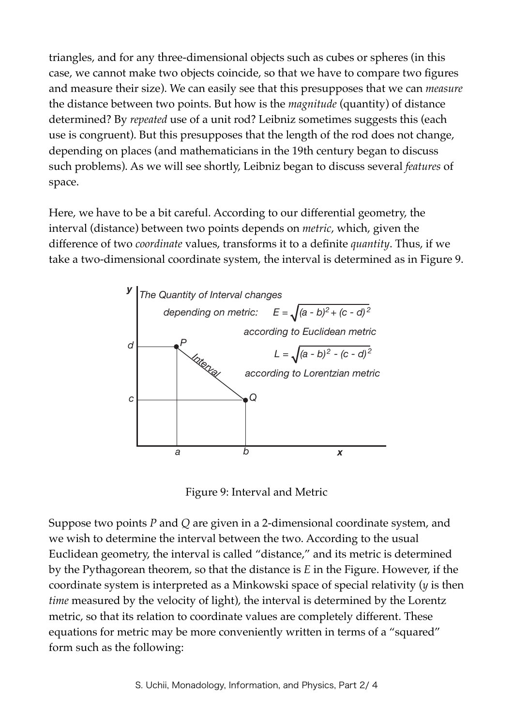triangles, and for any three-dimensional objects such as cubes or spheres (in this case, we cannot make two objects coincide, so that we have to compare two figures and measure their size). We can easily see that this presupposes that we can *measure* the distance between two points. But how is the *magnitude* (quantity) of distance determined? By *repeated* use of a unit rod? Leibniz sometimes suggests this (each use is congruent). But this presupposes that the length of the rod does not change, depending on places (and mathematicians in the 19th century began to discuss such problems). As we will see shortly, Leibniz began to discuss several *features* of space.

Here, we have to be a bit careful. According to our differential geometry, the interval (distance) between two points depends on *metric*, which, given the difference of two *coordinate* values, transforms it to a definite *quantity*. Thus, if we take a two-dimensional coordinate system, the interval is determined as in Figure 9.



Figure 9: Interval and Metric

Suppose two points *P* and *Q* are given in a 2-dimensional coordinate system, and we wish to determine the interval between the two. According to the usual Euclidean geometry, the interval is called "distance," and its metric is determined by the Pythagorean theorem, so that the distance is *E* in the Figure. However, if the coordinate system is interpreted as a Minkowski space of special relativity (*y* is then *time* measured by the velocity of light), the interval is determined by the Lorentz metric, so that its relation to coordinate values are completely different. These equations for metric may be more conveniently written in terms of a "squared" form such as the following: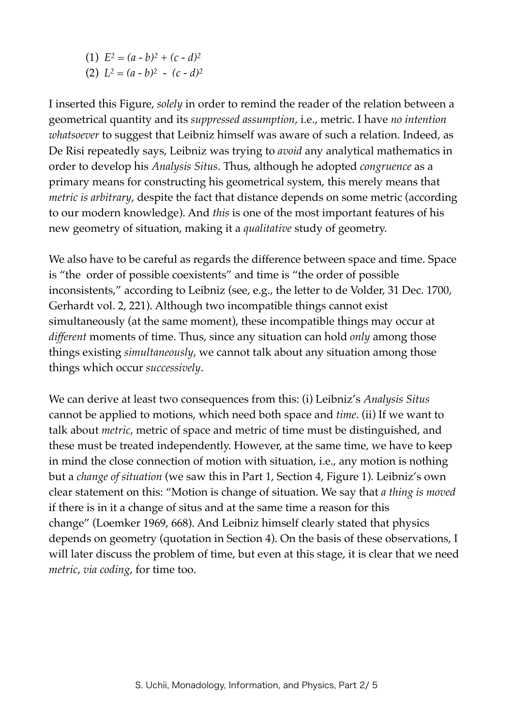(1)  $E^2 = (a - b)^2 + (c - d)^2$ (2)  $L^2 = (a - b)^2 - (c - d)^2$ 

I inserted this Figure, *solely* in order to remind the reader of the relation between a geometrical quantity and its *suppressed assumption*, i.e., metric. I have *no intention whatsoever* to suggest that Leibniz himself was aware of such a relation. Indeed, as De Risi repeatedly says, Leibniz was trying to *avoid* any analytical mathematics in order to develop his *Analysis Situs*. Thus, although he adopted *congruence* as a primary means for constructing his geometrical system, this merely means that *metric is arbitrary*, despite the fact that distance depends on some metric (according to our modern knowledge). And *this* is one of the most important features of his new geometry of situation, making it a *qualitative* study of geometry.

We also have to be careful as regards the difference between space and time. Space is "the order of possible coexistents" and time is "the order of possible inconsistents," according to Leibniz (see, e.g., the letter to de Volder, 31 Dec. 1700, Gerhardt vol. 2, 221). Although two incompatible things cannot exist simultaneously (at the same moment), these incompatible things may occur at *different* moments of time. Thus, since any situation can hold *only* among those things existing *simultaneously*, we cannot talk about any situation among those things which occur *successively*.

We can derive at least two consequences from this: (i) Leibniz's *Analysis Situs* cannot be applied to motions, which need both space and *time*. (ii) If we want to talk about *metric*, metric of space and metric of time must be distinguished, and these must be treated independently. However, at the same time, we have to keep in mind the close connection of motion with situation, i.e., any motion is nothing but a *change of situation* (we saw this in Part 1, Section 4, Figure 1). Leibniz's own clear statement on this: "Motion is change of situation. We say that *a thing is moved* if there is in it a change of situs and at the same time a reason for this change" (Loemker 1969, 668). And Leibniz himself clearly stated that physics depends on geometry (quotation in Section 4). On the basis of these observations, I will later discuss the problem of time, but even at this stage, it is clear that we need *metric*, *via coding*, for time too.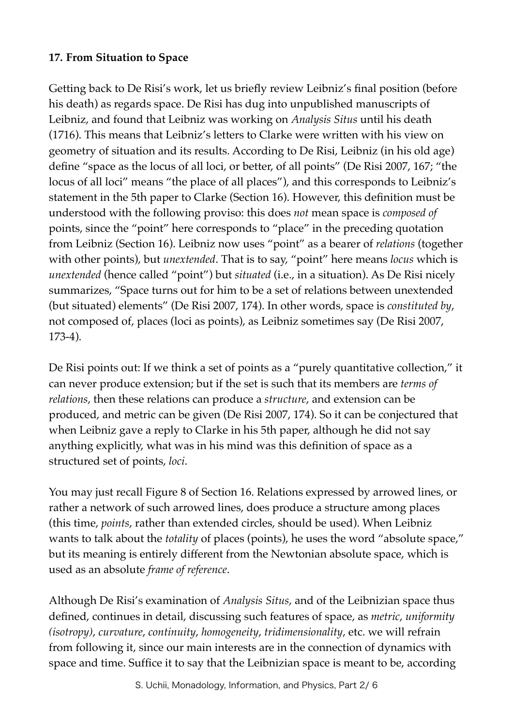#### **17. From Situation to Space**

Getting back to De Risi's work, let us briefly review Leibniz's final position (before his death) as regards space. De Risi has dug into unpublished manuscripts of Leibniz, and found that Leibniz was working on *Analysis Situs* until his death (1716). This means that Leibniz's letters to Clarke were written with his view on geometry of situation and its results. According to De Risi, Leibniz (in his old age) define "space as the locus of all loci, or better, of all points" (De Risi 2007, 167; "the locus of all loci" means "the place of all places"), and this corresponds to Leibniz's statement in the 5th paper to Clarke (Section 16). However, this definition must be understood with the following proviso: this does *not* mean space is *composed of* points, since the "point" here corresponds to "place" in the preceding quotation from Leibniz (Section 16). Leibniz now uses "point" as a bearer of *relations* (together with other points), but *unextended*. That is to say, "point" here means *locus* which is *unextended* (hence called "point") but *situated* (i.e., in a situation). As De Risi nicely summarizes, "Space turns out for him to be a set of relations between unextended (but situated) elements" (De Risi 2007, 174). In other words, space is *constituted by*, not composed of, places (loci as points), as Leibniz sometimes say (De Risi 2007, 173-4).

De Risi points out: If we think a set of points as a "purely quantitative collection," it can never produce extension; but if the set is such that its members are *terms of relations*, then these relations can produce a *structure*, and extension can be produced, and metric can be given (De Risi 2007, 174). So it can be conjectured that when Leibniz gave a reply to Clarke in his 5th paper, although he did not say anything explicitly, what was in his mind was this definition of space as a structured set of points, *loci*.

You may just recall Figure 8 of Section 16. Relations expressed by arrowed lines, or rather a network of such arrowed lines, does produce a structure among places (this time, *points*, rather than extended circles, should be used). When Leibniz wants to talk about the *totality* of places (points), he uses the word "absolute space," but its meaning is entirely different from the Newtonian absolute space, which is used as an absolute *frame of reference*.

Although De Risi's examination of *Analysis Situs*, and of the Leibnizian space thus defined, continues in detail, discussing such features of space, as *metric*, *uniformity (isotropy)*, *curvature*, *continuity*, *homogeneity*, *tridimensionality*, etc. we will refrain from following it, since our main interests are in the connection of dynamics with space and time. Suffice it to say that the Leibnizian space is meant to be, according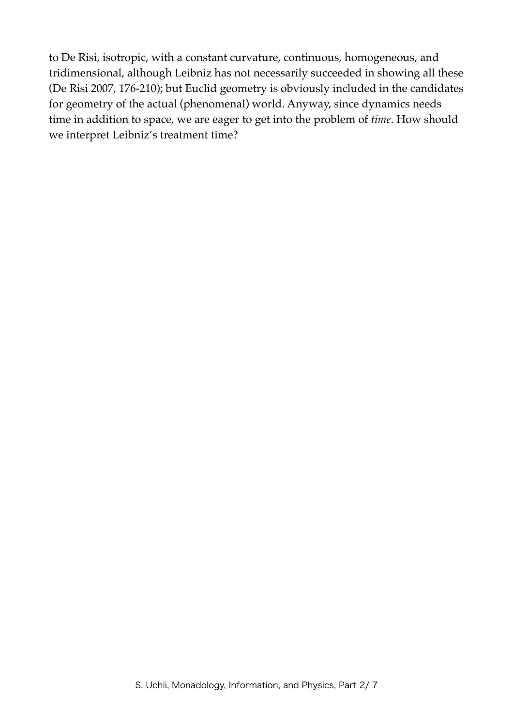to De Risi, isotropic, with a constant curvature, continuous, homogeneous, and tridimensional, although Leibniz has not necessarily succeeded in showing all these (De Risi 2007, 176-210); but Euclid geometry is obviously included in the candidates for geometry of the actual (phenomenal) world. Anyway, since dynamics needs time in addition to space, we are eager to get into the problem of *time*. How should we interpret Leibniz's treatment time?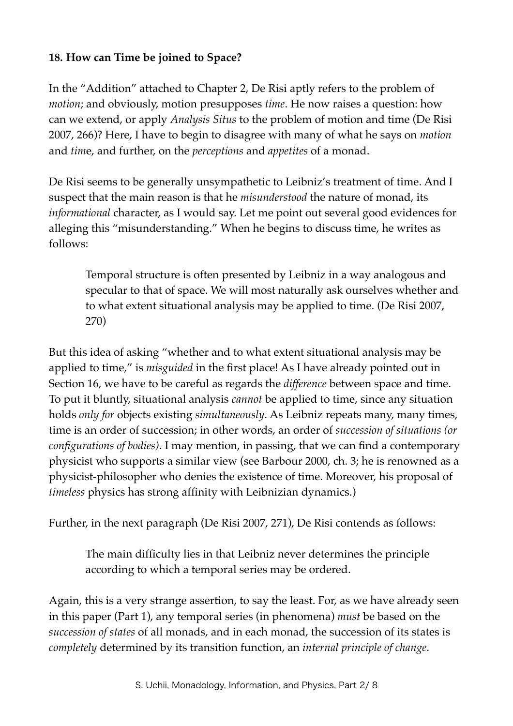## **18. How can Time be joined to Space?**

In the "Addition" attached to Chapter 2, De Risi aptly refers to the problem of *motion*; and obviously, motion presupposes *time*. He now raises a question: how can we extend, or apply *Analysis Situs* to the problem of motion and time (De Risi 2007, 266)? Here, I have to begin to disagree with many of what he says on *motion* and *tim*e, and further, on the *perceptions* and *appetites* of a monad.

De Risi seems to be generally unsympathetic to Leibniz's treatment of time. And I suspect that the main reason is that he *misunderstood* the nature of monad, its *informational* character, as I would say. Let me point out several good evidences for alleging this "misunderstanding." When he begins to discuss time, he writes as follows:

Temporal structure is often presented by Leibniz in a way analogous and specular to that of space. We will most naturally ask ourselves whether and to what extent situational analysis may be applied to time. (De Risi 2007, 270)

But this idea of asking "whether and to what extent situational analysis may be applied to time," is *misguided* in the first place! As I have already pointed out in Section 16, we have to be careful as regards the *difference* between space and time. To put it bluntly, situational analysis *cannot* be applied to time, since any situation holds *only for* objects existing *simultaneously*. As Leibniz repeats many, many times, time is an order of succession; in other words, an order of *succession of situations (or configurations of bodies)*. I may mention, in passing, that we can find a contemporary physicist who supports a similar view (see Barbour 2000, ch. 3; he is renowned as a physicist-philosopher who denies the existence of time. Moreover, his proposal of *timeless* physics has strong affinity with Leibnizian dynamics.)

Further, in the next paragraph (De Risi 2007, 271), De Risi contends as follows:

The main difficulty lies in that Leibniz never determines the principle according to which a temporal series may be ordered.

Again, this is a very strange assertion, to say the least. For, as we have already seen in this paper (Part 1), any temporal series (in phenomena) *must* be based on the *succession of states* of all monads, and in each monad, the succession of its states is *completely* determined by its transition function, an *internal principle of change*.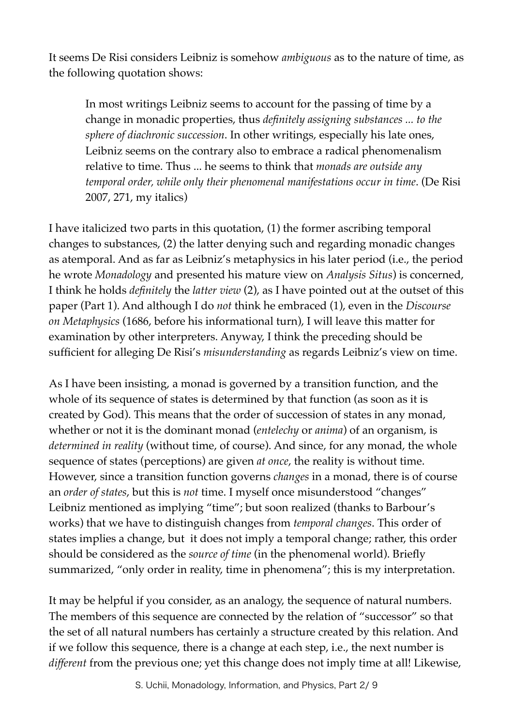It seems De Risi considers Leibniz is somehow *ambiguous* as to the nature of time, as the following quotation shows:

In most writings Leibniz seems to account for the passing of time by a change in monadic properties, thus *definitely assigning substances ... to the sphere of diachronic succession*. In other writings, especially his late ones, Leibniz seems on the contrary also to embrace a radical phenomenalism relative to time. Thus ... he seems to think that *monads are outside any temporal order, while only their phenomenal manifestations occur in time*. (De Risi 2007, 271, my italics)

I have italicized two parts in this quotation, (1) the former ascribing temporal changes to substances, (2) the latter denying such and regarding monadic changes as atemporal. And as far as Leibniz's metaphysics in his later period (i.e., the period he wrote *Monadology* and presented his mature view on *Analysis Situs*) is concerned, I think he holds *definitely* the *latter view* (2), as I have pointed out at the outset of this paper (Part 1). And although I do *not* think he embraced (1), even in the *Discourse on Metaphysics* (1686, before his informational turn), I will leave this matter for examination by other interpreters. Anyway, I think the preceding should be sufficient for alleging De Risi's *misunderstanding* as regards Leibniz's view on time.

As I have been insisting, a monad is governed by a transition function, and the whole of its sequence of states is determined by that function (as soon as it is created by God). This means that the order of succession of states in any monad, whether or not it is the dominant monad (*entelechy* or *anima*) of an organism, is *determined in reality* (without time, of course). And since, for any monad, the whole sequence of states (perceptions) are given *at once*, the reality is without time. However, since a transition function governs *changes* in a monad, there is of course an *order of states*, but this is *not* time. I myself once misunderstood "changes" Leibniz mentioned as implying "time"; but soon realized (thanks to Barbour's works) that we have to distinguish changes from *temporal changes*. This order of states implies a change, but it does not imply a temporal change; rather, this order should be considered as the *source of time* (in the phenomenal world). Briefly summarized, "only order in reality, time in phenomena"; this is my interpretation.

It may be helpful if you consider, as an analogy, the sequence of natural numbers. The members of this sequence are connected by the relation of "successor" so that the set of all natural numbers has certainly a structure created by this relation. And if we follow this sequence, there is a change at each step, i.e., the next number is *different* from the previous one; yet this change does not imply time at all! Likewise,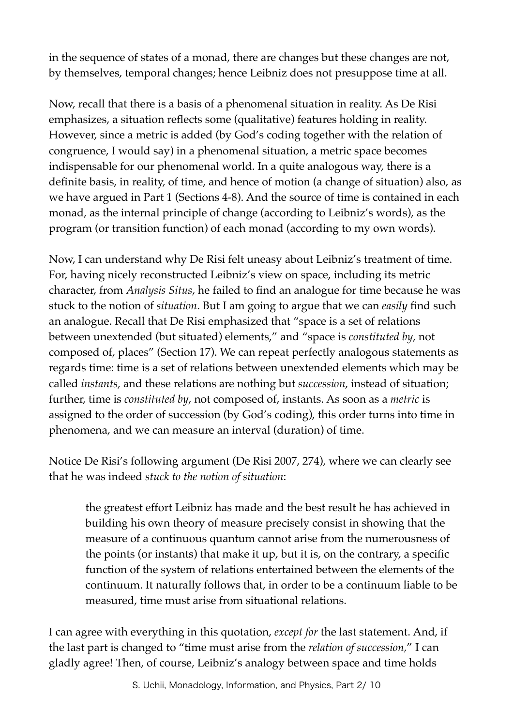in the sequence of states of a monad, there are changes but these changes are not, by themselves, temporal changes; hence Leibniz does not presuppose time at all.

Now, recall that there is a basis of a phenomenal situation in reality. As De Risi emphasizes, a situation reflects some (qualitative) features holding in reality. However, since a metric is added (by God's coding together with the relation of congruence, I would say) in a phenomenal situation, a metric space becomes indispensable for our phenomenal world. In a quite analogous way, there is a definite basis, in reality, of time, and hence of motion (a change of situation) also, as we have argued in Part 1 (Sections 4-8). And the source of time is contained in each monad, as the internal principle of change (according to Leibniz's words), as the program (or transition function) of each monad (according to my own words).

Now, I can understand why De Risi felt uneasy about Leibniz's treatment of time. For, having nicely reconstructed Leibniz's view on space, including its metric character, from *Analysis Situs*, he failed to find an analogue for time because he was stuck to the notion of *situation*. But I am going to argue that we can *easily* find such an analogue. Recall that De Risi emphasized that "space is a set of relations between unextended (but situated) elements," and "space is *constituted by*, not composed of, places" (Section 17). We can repeat perfectly analogous statements as regards time: time is a set of relations between unextended elements which may be called *instants*, and these relations are nothing but *succession*, instead of situation; further, time is *constituted by*, not composed of, instants. As soon as a *metric* is assigned to the order of succession (by God's coding), this order turns into time in phenomena, and we can measure an interval (duration) of time.

Notice De Risi's following argument (De Risi 2007, 274), where we can clearly see that he was indeed *stuck to the notion of situation*:

the greatest effort Leibniz has made and the best result he has achieved in building his own theory of measure precisely consist in showing that the measure of a continuous quantum cannot arise from the numerousness of the points (or instants) that make it up, but it is, on the contrary, a specific function of the system of relations entertained between the elements of the continuum. It naturally follows that, in order to be a continuum liable to be measured, time must arise from situational relations.

I can agree with everything in this quotation, *except for* the last statement. And, if the last part is changed to "time must arise from the *relation of succession,*" I can gladly agree! Then, of course, Leibniz's analogy between space and time holds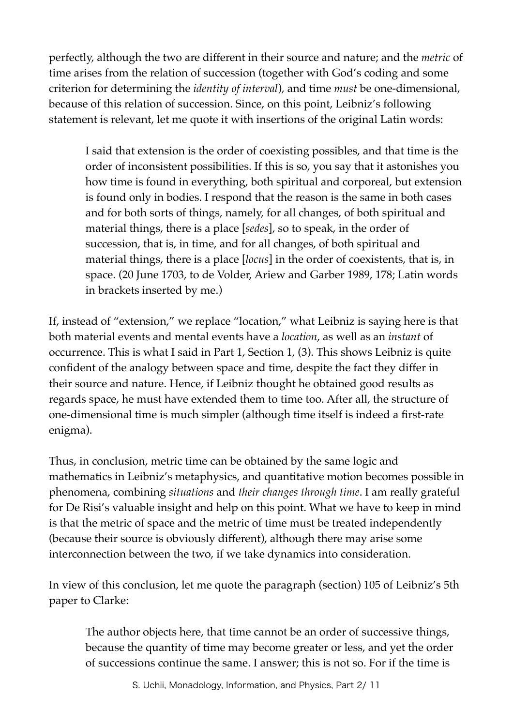perfectly, although the two are different in their source and nature; and the *metric* of time arises from the relation of succession (together with God's coding and some criterion for determining the *identity of interval*), and time *must* be one-dimensional, because of this relation of succession. Since, on this point, Leibniz's following statement is relevant, let me quote it with insertions of the original Latin words:

I said that extension is the order of coexisting possibles, and that time is the order of inconsistent possibilities. If this is so, you say that it astonishes you how time is found in everything, both spiritual and corporeal, but extension is found only in bodies. I respond that the reason is the same in both cases and for both sorts of things, namely, for all changes, of both spiritual and material things, there is a place [*sedes*], so to speak, in the order of succession, that is, in time, and for all changes, of both spiritual and material things, there is a place [*locus*] in the order of coexistents, that is, in space. (20 June 1703, to de Volder, Ariew and Garber 1989, 178; Latin words in brackets inserted by me.)

If, instead of "extension," we replace "location," what Leibniz is saying here is that both material events and mental events have a *location*, as well as an *instant* of occurrence. This is what I said in Part 1, Section 1, (3). This shows Leibniz is quite confident of the analogy between space and time, despite the fact they differ in their source and nature. Hence, if Leibniz thought he obtained good results as regards space, he must have extended them to time too. After all, the structure of one-dimensional time is much simpler (although time itself is indeed a first-rate enigma).

Thus, in conclusion, metric time can be obtained by the same logic and mathematics in Leibniz's metaphysics, and quantitative motion becomes possible in phenomena, combining *situations* and *their changes through time*. I am really grateful for De Risi's valuable insight and help on this point. What we have to keep in mind is that the metric of space and the metric of time must be treated independently (because their source is obviously different), although there may arise some interconnection between the two, if we take dynamics into consideration.

In view of this conclusion, let me quote the paragraph (section) 105 of Leibniz's 5th paper to Clarke:

The author objects here, that time cannot be an order of successive things, because the quantity of time may become greater or less, and yet the order of successions continue the same. I answer; this is not so. For if the time is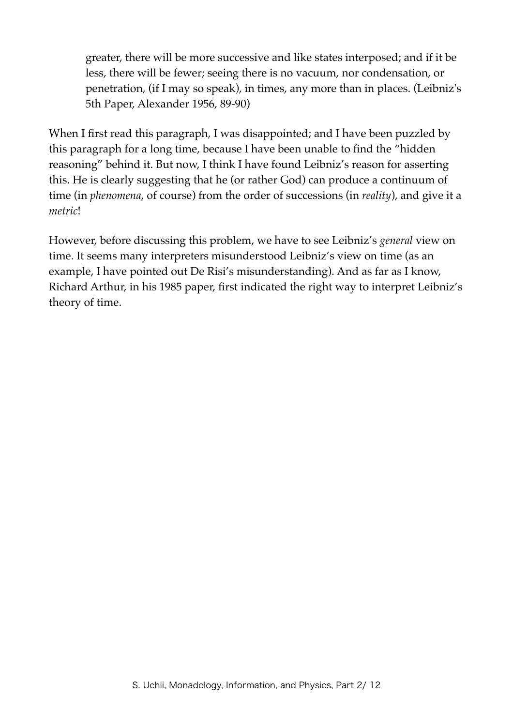greater, there will be more successive and like states interposed; and if it be less, there will be fewer; seeing there is no vacuum, nor condensation, or penetration, (if I may so speak), in times, any more than in places. (Leibniz's 5th Paper, Alexander 1956, 89-90)

When I first read this paragraph, I was disappointed; and I have been puzzled by this paragraph for a long time, because I have been unable to find the "hidden reasoning" behind it. But now, I think I have found Leibniz's reason for asserting this. He is clearly suggesting that he (or rather God) can produce a continuum of time (in *phenomena*, of course) from the order of successions (in *reality*), and give it a *metric*!

However, before discussing this problem, we have to see Leibniz's *general* view on time. It seems many interpreters misunderstood Leibniz's view on time (as an example, I have pointed out De Risi's misunderstanding). And as far as I know, Richard Arthur, in his 1985 paper, first indicated the right way to interpret Leibniz's theory of time.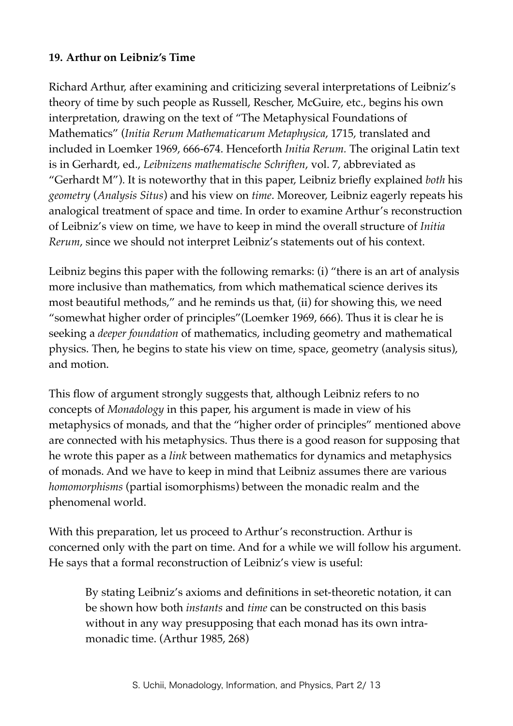## **19. Arthur on Leibniz's Time**

Richard Arthur, after examining and criticizing several interpretations of Leibniz's theory of time by such people as Russell, Rescher, McGuire, etc., begins his own interpretation, drawing on the text of "The Metaphysical Foundations of Mathematics" (*Initia Rerum Mathematicarum Metaphysica*, 1715, translated and included in Loemker 1969, 666-674. Henceforth *Initia Rerum.* The original Latin text is in Gerhardt, ed., *Leibnizens mathematische Schriften*, vol. 7, abbreviated as "Gerhardt M"). It is noteworthy that in this paper, Leibniz briefly explained *both* his *geometry* (*Analysis Situs*) and his view on *time*. Moreover, Leibniz eagerly repeats his analogical treatment of space and time. In order to examine Arthur's reconstruction of Leibniz's view on time, we have to keep in mind the overall structure of *Initia Rerum*, since we should not interpret Leibniz's statements out of his context.

Leibniz begins this paper with the following remarks: (i) "there is an art of analysis more inclusive than mathematics, from which mathematical science derives its most beautiful methods," and he reminds us that, (ii) for showing this, we need "somewhat higher order of principles"(Loemker 1969, 666). Thus it is clear he is seeking a *deeper foundation* of mathematics, including geometry and mathematical physics. Then, he begins to state his view on time, space, geometry (analysis situs), and motion.

This flow of argument strongly suggests that, although Leibniz refers to no concepts of *Monadology* in this paper, his argument is made in view of his metaphysics of monads, and that the "higher order of principles" mentioned above are connected with his metaphysics. Thus there is a good reason for supposing that he wrote this paper as a *link* between mathematics for dynamics and metaphysics of monads. And we have to keep in mind that Leibniz assumes there are various *homomorphisms* (partial isomorphisms) between the monadic realm and the phenomenal world.

With this preparation, let us proceed to Arthur's reconstruction. Arthur is concerned only with the part on time. And for a while we will follow his argument. He says that a formal reconstruction of Leibniz's view is useful:

By stating Leibniz's axioms and definitions in set-theoretic notation, it can be shown how both *instants* and *time* can be constructed on this basis without in any way presupposing that each monad has its own intramonadic time. (Arthur 1985, 268)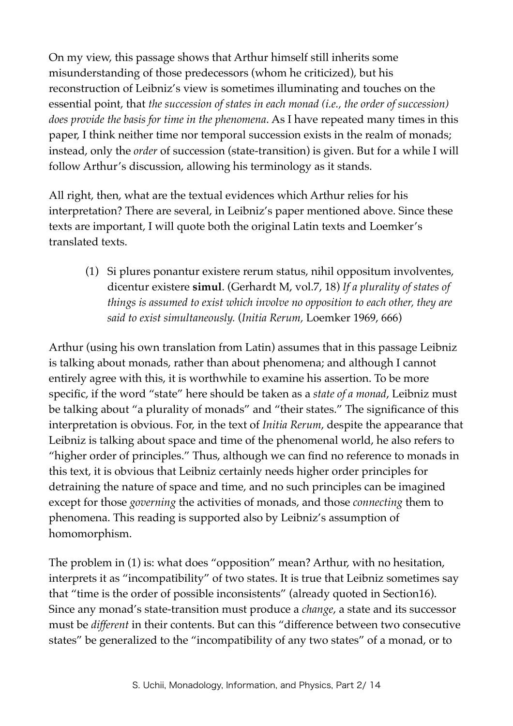On my view, this passage shows that Arthur himself still inherits some misunderstanding of those predecessors (whom he criticized), but his reconstruction of Leibniz's view is sometimes illuminating and touches on the essential point, that *the succession of states in each monad (i.e., the order of succession) does provide the basis for time in the phenomena*. As I have repeated many times in this paper, I think neither time nor temporal succession exists in the realm of monads; instead, only the *order* of succession (state-transition) is given. But for a while I will follow Arthur's discussion, allowing his terminology as it stands.

All right, then, what are the textual evidences which Arthur relies for his interpretation? There are several, in Leibniz's paper mentioned above. Since these texts are important, I will quote both the original Latin texts and Loemker's translated texts.

(1) Si plures ponantur existere rerum status, nihil oppositum involventes, dicentur existere **simul**. (Gerhardt M, vol.7, 18) *If a plurality of states of things is assumed to exist which involve no opposition to each other, they are said to exist simultaneously.* (*Initia Rerum,* Loemker 1969, 666)

Arthur (using his own translation from Latin) assumes that in this passage Leibniz is talking about monads, rather than about phenomena; and although I cannot entirely agree with this, it is worthwhile to examine his assertion. To be more specific, if the word "state" here should be taken as a *state of a monad*, Leibniz must be talking about "a plurality of monads" and "their states." The significance of this interpretation is obvious. For, in the text of *Initia Rerum*, despite the appearance that Leibniz is talking about space and time of the phenomenal world, he also refers to "higher order of principles." Thus, although we can find no reference to monads in this text, it is obvious that Leibniz certainly needs higher order principles for detraining the nature of space and time, and no such principles can be imagined except for those *governing* the activities of monads, and those *connecting* them to phenomena. This reading is supported also by Leibniz's assumption of homomorphism.

The problem in (1) is: what does "opposition" mean? Arthur, with no hesitation, interprets it as "incompatibility" of two states. It is true that Leibniz sometimes say that "time is the order of possible inconsistents" (already quoted in Section16). Since any monad's state-transition must produce a *change*, a state and its successor must be *different* in their contents. But can this "difference between two consecutive states" be generalized to the "incompatibility of any two states" of a monad, or to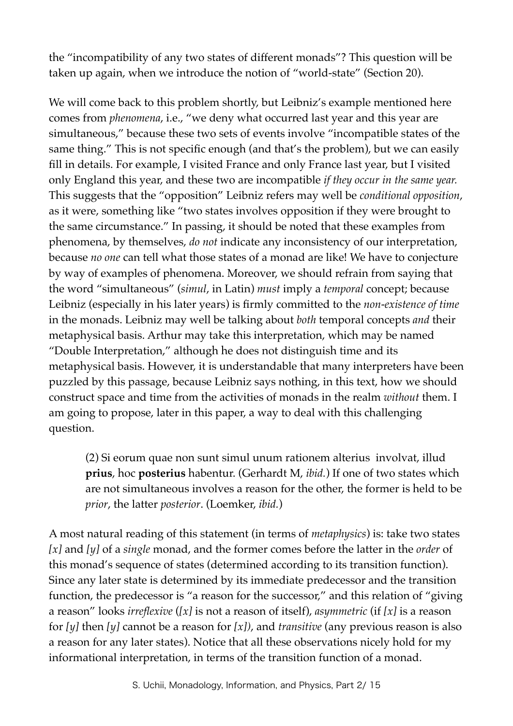the "incompatibility of any two states of different monads"? This question will be taken up again, when we introduce the notion of "world-state" (Section 20).

We will come back to this problem shortly, but Leibniz's example mentioned here comes from *phenomena*, i.e., "we deny what occurred last year and this year are simultaneous," because these two sets of events involve "incompatible states of the same thing." This is not specific enough (and that's the problem), but we can easily fill in details. For example, I visited France and only France last year, but I visited only England this year, and these two are incompatible *if they occur in the same year.*  This suggests that the "opposition" Leibniz refers may well be *conditional opposition*, as it were, something like "two states involves opposition if they were brought to the same circumstance." In passing, it should be noted that these examples from phenomena, by themselves, *do not* indicate any inconsistency of our interpretation, because *no one* can tell what those states of a monad are like! We have to conjecture by way of examples of phenomena. Moreover, we should refrain from saying that the word "simultaneous" (*simul*, in Latin) *must* imply a *temporal* concept; because Leibniz (especially in his later years) is firmly committed to the *non-existence of time* in the monads. Leibniz may well be talking about *both* temporal concepts *and* their metaphysical basis. Arthur may take this interpretation, which may be named "Double Interpretation," although he does not distinguish time and its metaphysical basis. However, it is understandable that many interpreters have been puzzled by this passage, because Leibniz says nothing, in this text, how we should construct space and time from the activities of monads in the realm *without* them. I am going to propose, later in this paper, a way to deal with this challenging question.

(2) Si eorum quae non sunt simul unum rationem alterius involvat, illud **prius**, hoc **posterius** habentur. (Gerhardt M, *ibid.*) If one of two states which are not simultaneous involves a reason for the other, the former is held to be *prior*, the latter *posterior*. (Loemker, *ibid.*)

A most natural reading of this statement (in terms of *metaphysics*) is: take two states *[x]* and *[y]* of a *single* monad, and the former comes before the latter in the *order* of this monad's sequence of states (determined according to its transition function). Since any later state is determined by its immediate predecessor and the transition function, the predecessor is "a reason for the successor," and this relation of "giving a reason" looks *irreflexive* (*[x]* is not a reason of itself), *asymmetric* (if *[x]* is a reason for *[y]* then *[y]* cannot be a reason for *[x])*, and *transitive* (any previous reason is also a reason for any later states). Notice that all these observations nicely hold for my informational interpretation, in terms of the transition function of a monad.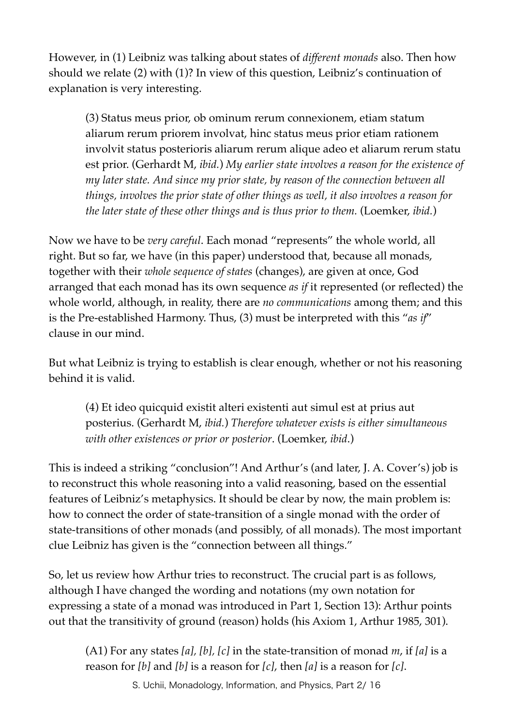However, in (1) Leibniz was talking about states of *different monads* also. Then how should we relate (2) with (1)? In view of this question, Leibniz's continuation of explanation is very interesting.

(3) Status meus prior, ob ominum rerum connexionem, etiam statum aliarum rerum priorem involvat, hinc status meus prior etiam rationem involvit status posterioris aliarum rerum alique adeo et aliarum rerum statu est prior. (Gerhardt M, *ibid.*) *My earlier state involves a reason for the existence of my later state. And since my prior state, by reason of the connection between all things, involves the prior state of other things as well, it also involves a reason for the later state of these other things and is thus prior to them.* (Loemker, *ibid.*)

Now we have to be *very careful*. Each monad "represents" the whole world, all right. But so far, we have (in this paper) understood that, because all monads, together with their *whole sequence of states* (changes), are given at once, God arranged that each monad has its own sequence *as if* it represented (or reflected) the whole world, although, in reality, there are *no communications* among them; and this is the Pre-established Harmony. Thus, (3) must be interpreted with this "*as if*" clause in our mind.

But what Leibniz is trying to establish is clear enough, whether or not his reasoning behind it is valid.

(4) Et ideo quicquid existit alteri existenti aut simul est at prius aut posterius. (Gerhardt M, *ibid.*) *Therefore whatever exists is either simultaneous with other existences or prior or posterior*. (Loemker, *ibid*.)

This is indeed a striking "conclusion"! And Arthur's (and later, J. A. Cover's) job is to reconstruct this whole reasoning into a valid reasoning, based on the essential features of Leibniz's metaphysics. It should be clear by now, the main problem is: how to connect the order of state-transition of a single monad with the order of state-transitions of other monads (and possibly, of all monads). The most important clue Leibniz has given is the "connection between all things."

So, let us review how Arthur tries to reconstruct. The crucial part is as follows, although I have changed the wording and notations (my own notation for expressing a state of a monad was introduced in Part 1, Section 13): Arthur points out that the transitivity of ground (reason) holds (his Axiom 1, Arthur 1985, 301).

(A1) For any states *[a], [b], [c]* in the state-transition of monad *m*, if *[a]* is a reason for *[b]* and *[b]* is a reason for *[c]*, then *[a]* is a reason for *[c]*.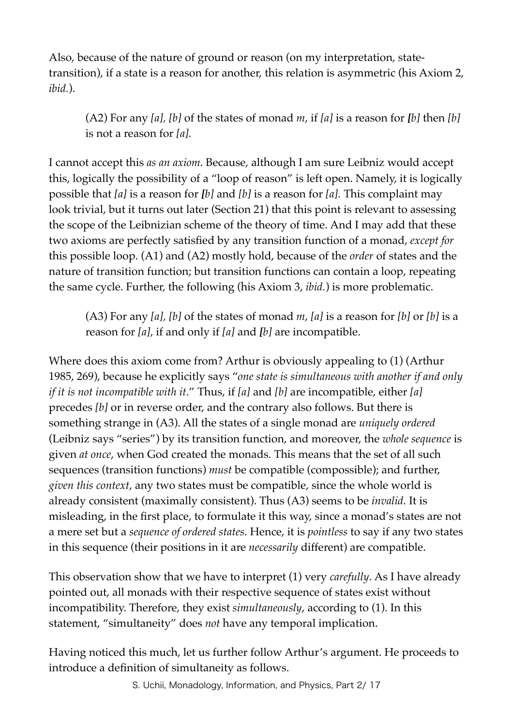Also, because of the nature of ground or reason (on my interpretation, statetransition), if a state is a reason for another, this relation is asymmetric (his Axiom 2, *ibid.*).

(A2) For any *[a], [b]* of the states of monad *m*, if *[a]* is a reason for *[b]* then *[b]*  is not a reason for *[a].*

I cannot accept this *as an axiom*. Because, although I am sure Leibniz would accept this, logically the possibility of a "loop of reason" is left open. Namely, it is logically possible that *[a]* is a reason for *[b]* and *[b]* is a reason for *[a].* This complaint may look trivial, but it turns out later (Section 21) that this point is relevant to assessing the scope of the Leibnizian scheme of the theory of time. And I may add that these two axioms are perfectly satisfied by any transition function of a monad, *except for* this possible loop. (A1) and (A2) mostly hold, because of the *order* of states and the nature of transition function; but transition functions can contain a loop, repeating the same cycle. Further, the following (his Axiom 3, *ibid.*) is more problematic.

(A3) For any *[a], [b]* of the states of monad *m*, *[a]* is a reason for *[b]* or *[b]* is a reason for *[a]*, if and only if *[a]* and *[b]* are incompatible.

Where does this axiom come from? Arthur is obviously appealing to (1) (Arthur 1985, 269), because he explicitly says "*one state is simultaneous with another if and only if it is not incompatible with it*." Thus, if *[a]* and *[b]* are incompatible, either *[a]* precedes *[b]* or in reverse order, and the contrary also follows. But there is something strange in (A3). All the states of a single monad are *uniquely ordered* (Leibniz says "series") by its transition function, and moreover, the *whole sequence* is given *at once*, when God created the monads. This means that the set of all such sequences (transition functions) *must* be compatible (compossible); and further, *given this context*, any two states must be compatible, since the whole world is already consistent (maximally consistent). Thus (A3) seems to be *invalid.* It is misleading, in the first place, to formulate it this way, since a monad's states are not a mere set but a *sequence of ordered states*. Hence, it is *pointless* to say if any two states in this sequence (their positions in it are *necessarily* different) are compatible.

This observation show that we have to interpret (1) very *carefully*. As I have already pointed out, all monads with their respective sequence of states exist without incompatibility. Therefore, they exist *simultaneously*, according to (1). In this statement, "simultaneity" does *not* have any temporal implication.

Having noticed this much, let us further follow Arthur's argument. He proceeds to introduce a definition of simultaneity as follows.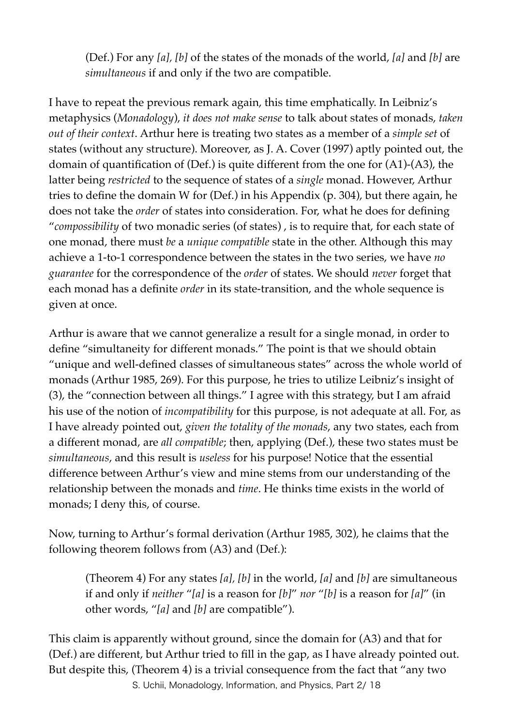(Def.) For any *[a], [b]* of the states of the monads of the world, *[a]* and *[b]* are *simultaneous* if and only if the two are compatible.

I have to repeat the previous remark again, this time emphatically. In Leibniz's metaphysics (*Monadology*), *it does not make sense* to talk about states of monads, *taken out of their context*. Arthur here is treating two states as a member of a *simple set* of states (without any structure). Moreover, as J. A. Cover (1997) aptly pointed out, the domain of quantification of (Def.) is quite different from the one for (A1)-(A3), the latter being *restricted* to the sequence of states of a *single* monad. However, Arthur tries to define the domain W for (Def.) in his Appendix (p. 304), but there again, he does not take the *order* of states into consideration. For, what he does for defining "*compossibility* of two monadic series (of states) , is to require that, for each state of one monad, there must *be* a *unique compatible* state in the other. Although this may achieve a 1-to-1 correspondence between the states in the two series, we have *no guarantee* for the correspondence of the *order* of states. We should *never* forget that each monad has a definite *order* in its state-transition, and the whole sequence is given at once.

Arthur is aware that we cannot generalize a result for a single monad, in order to define "simultaneity for different monads." The point is that we should obtain "unique and well-defined classes of simultaneous states" across the whole world of monads (Arthur 1985, 269). For this purpose, he tries to utilize Leibniz's insight of (3), the "connection between all things." I agree with this strategy, but I am afraid his use of the notion of *incompatibility* for this purpose, is not adequate at all. For, as I have already pointed out, *given the totality of the monads*, any two states, each from a different monad, are *all compatible*; then, applying (Def.), these two states must be *simultaneous*, and this result is *useless* for his purpose! Notice that the essential difference between Arthur's view and mine stems from our understanding of the relationship between the monads and *time*. He thinks time exists in the world of monads; I deny this, of course.

Now, turning to Arthur's formal derivation (Arthur 1985, 302), he claims that the following theorem follows from (A3) and (Def.):

(Theorem 4) For any states *[a], [b]* in the world, *[a]* and *[b]* are simultaneous if and only if *neither* "*[a]* is a reason for *[b]*" *nor* "*[b]* is a reason for *[a]*" (in other words, "*[a]* and *[b]* are compatible").

This claim is apparently without ground, since the domain for (A3) and that for (Def.) are different, but Arthur tried to fill in the gap, as I have already pointed out. But despite this, (Theorem 4) is a trivial consequence from the fact that "any two S. Uchii, Monadology, Information, and Physics, Part 2/ 18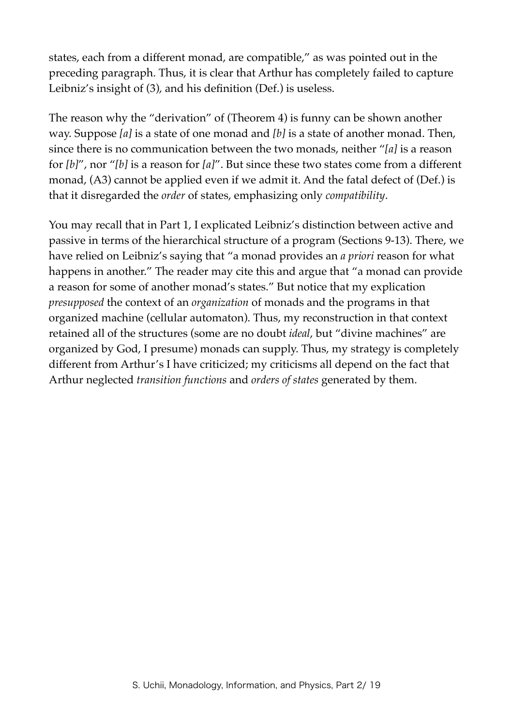states, each from a different monad, are compatible," as was pointed out in the preceding paragraph. Thus, it is clear that Arthur has completely failed to capture Leibniz's insight of (3), and his definition (Def.) is useless.

The reason why the "derivation" of (Theorem 4) is funny can be shown another way. Suppose *[a]* is a state of one monad and *[b]* is a state of another monad. Then, since there is no communication between the two monads, neither "*[a]* is a reason for *[b]*", nor "*[b]* is a reason for *[a]*". But since these two states come from a different monad, (A3) cannot be applied even if we admit it. And the fatal defect of (Def.) is that it disregarded the *order* of states, emphasizing only *compatibility*.

You may recall that in Part 1, I explicated Leibniz's distinction between active and passive in terms of the hierarchical structure of a program (Sections 9-13). There, we have relied on Leibniz's saying that "a monad provides an *a priori* reason for what happens in another." The reader may cite this and argue that "a monad can provide a reason for some of another monad's states." But notice that my explication *presupposed* the context of an *organization* of monads and the programs in that organized machine (cellular automaton). Thus, my reconstruction in that context retained all of the structures (some are no doubt *ideal*, but "divine machines" are organized by God, I presume) monads can supply. Thus, my strategy is completely different from Arthur's I have criticized; my criticisms all depend on the fact that Arthur neglected *transition functions* and *orders of states* generated by them.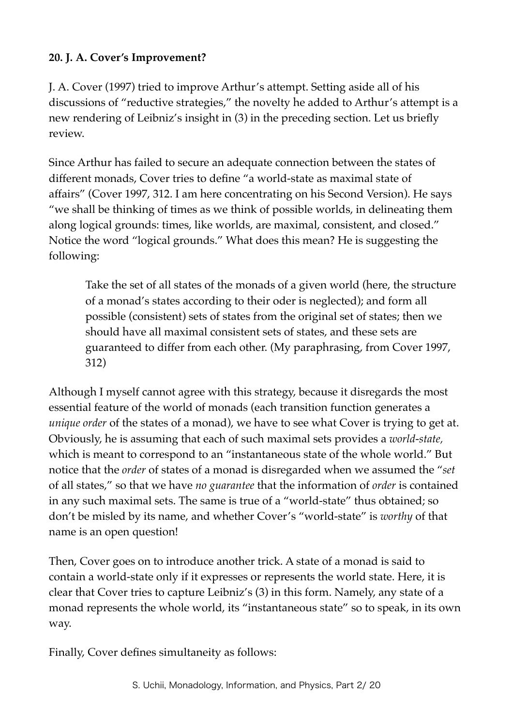# **20. J. A. Cover's Improvement?**

J. A. Cover (1997) tried to improve Arthur's attempt. Setting aside all of his discussions of "reductive strategies," the novelty he added to Arthur's attempt is a new rendering of Leibniz's insight in (3) in the preceding section. Let us briefly review.

Since Arthur has failed to secure an adequate connection between the states of different monads, Cover tries to define "a world-state as maximal state of affairs" (Cover 1997, 312. I am here concentrating on his Second Version). He says "we shall be thinking of times as we think of possible worlds, in delineating them along logical grounds: times, like worlds, are maximal, consistent, and closed." Notice the word "logical grounds." What does this mean? He is suggesting the following:

Take the set of all states of the monads of a given world (here, the structure of a monad's states according to their oder is neglected); and form all possible (consistent) sets of states from the original set of states; then we should have all maximal consistent sets of states, and these sets are guaranteed to differ from each other. (My paraphrasing, from Cover 1997, 312)

Although I myself cannot agree with this strategy, because it disregards the most essential feature of the world of monads (each transition function generates a *unique order* of the states of a monad), we have to see what Cover is trying to get at. Obviously, he is assuming that each of such maximal sets provides a *world-state,*  which is meant to correspond to an "instantaneous state of the whole world." But notice that the *order* of states of a monad is disregarded when we assumed the "*set* of all states," so that we have *no guarantee* that the information of *order* is contained in any such maximal sets. The same is true of a "world-state" thus obtained; so don't be misled by its name, and whether Cover's "world-state" is *worthy* of that name is an open question!

Then, Cover goes on to introduce another trick. A state of a monad is said to contain a world-state only if it expresses or represents the world state. Here, it is clear that Cover tries to capture Leibniz's (3) in this form. Namely, any state of a monad represents the whole world, its "instantaneous state" so to speak, in its own way.

Finally, Cover defines simultaneity as follows: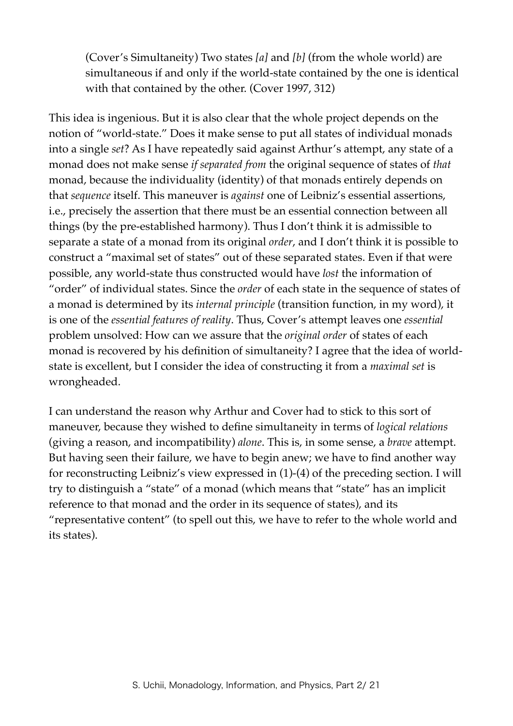(Cover's Simultaneity) Two states *[a]* and *[b]* (from the whole world) are simultaneous if and only if the world-state contained by the one is identical with that contained by the other. (Cover 1997, 312)

This idea is ingenious. But it is also clear that the whole project depends on the notion of "world-state." Does it make sense to put all states of individual monads into a single *set*? As I have repeatedly said against Arthur's attempt, any state of a monad does not make sense *if separated from* the original sequence of states of *that* monad, because the individuality (identity) of that monads entirely depends on that *sequence* itself. This maneuver is *against* one of Leibniz's essential assertions, i.e., precisely the assertion that there must be an essential connection between all things (by the pre-established harmony). Thus I don't think it is admissible to separate a state of a monad from its original *order*, and I don't think it is possible to construct a "maximal set of states" out of these separated states. Even if that were possible, any world-state thus constructed would have *lost* the information of "order" of individual states. Since the *order* of each state in the sequence of states of a monad is determined by its *internal principle* (transition function, in my word), it is one of the *essential features of reality*. Thus, Cover's attempt leaves one *essential* problem unsolved: How can we assure that the *original order* of states of each monad is recovered by his definition of simultaneity? I agree that the idea of worldstate is excellent, but I consider the idea of constructing it from a *maximal set* is wrongheaded.

I can understand the reason why Arthur and Cover had to stick to this sort of maneuver, because they wished to define simultaneity in terms of *logical relations* (giving a reason, and incompatibility) *alone*. This is, in some sense, a *brave* attempt. But having seen their failure, we have to begin anew; we have to find another way for reconstructing Leibniz's view expressed in (1)-(4) of the preceding section. I will try to distinguish a "state" of a monad (which means that "state" has an implicit reference to that monad and the order in its sequence of states), and its "representative content" (to spell out this, we have to refer to the whole world and its states).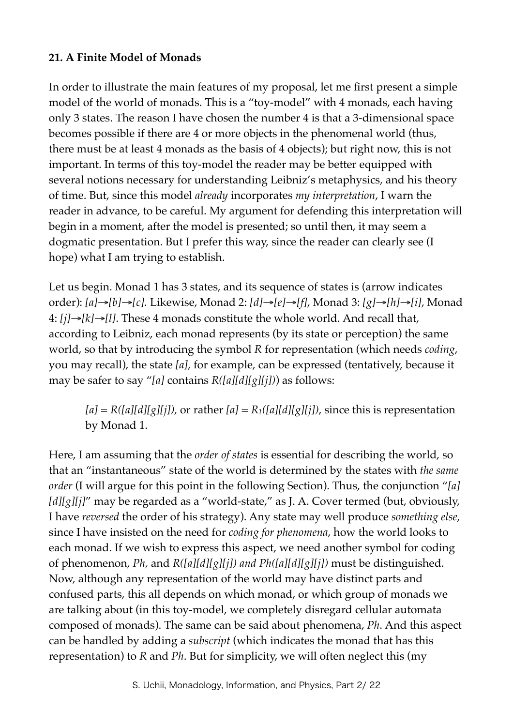## **21. A Finite Model of Monads**

In order to illustrate the main features of my proposal, let me first present a simple model of the world of monads. This is a "toy-model" with 4 monads, each having only 3 states. The reason I have chosen the number 4 is that a 3-dimensional space becomes possible if there are 4 or more objects in the phenomenal world (thus, there must be at least 4 monads as the basis of 4 objects); but right now, this is not important. In terms of this toy-model the reader may be better equipped with several notions necessary for understanding Leibniz's metaphysics, and his theory of time. But, since this model *already* incorporates *my interpretation*, I warn the reader in advance, to be careful. My argument for defending this interpretation will begin in a moment, after the model is presented; so until then, it may seem a dogmatic presentation. But I prefer this way, since the reader can clearly see (I hope) what I am trying to establish.

Let us begin. Monad 1 has 3 states, and its sequence of states is (arrow indicates order): *[a]*→*[b]*→*[c].* Likewise, Monad 2: *[d]*→*[e]*→*[f]*, Monad 3: *[g]*→*[h]*→*[i]*, Monad 4: *[j]*→*[k]*→*[l]*. These 4 monads constitute the whole world. And recall that, according to Leibniz, each monad represents (by its state or perception) the same world, so that by introducing the symbol *R* for representation (which needs *coding*, you may recall), the state *[a]*, for example, can be expressed (tentatively, because it may be safer to say "*[a]* contains *R([a][d][g][j])*) as follows:

 $[a] = R([a][d][g][j])$ , or rather  $[a] = R_1([a][d][g][j])$ , since this is representation by Monad 1.

Here, I am assuming that the *order of states* is essential for describing the world, so that an "instantaneous" state of the world is determined by the states with *the same order* (I will argue for this point in the following Section). Thus, the conjunction "*[a] [d][g][j]*" may be regarded as a "world-state," as J. A. Cover termed (but, obviously, I have *reversed* the order of his strategy). Any state may well produce *something else*, since I have insisted on the need for *coding for phenomena*, how the world looks to each monad. If we wish to express this aspect, we need another symbol for coding of phenomenon, *Ph,* and *R([a][d][g][j]) and Ph([a][d][g][j])* must be distinguished. Now, although any representation of the world may have distinct parts and confused parts, this all depends on which monad, or which group of monads we are talking about (in this toy-model, we completely disregard cellular automata composed of monads). The same can be said about phenomena, *Ph*. And this aspect can be handled by adding a *subscript* (which indicates the monad that has this representation) to *R* and *Ph*. But for simplicity, we will often neglect this (my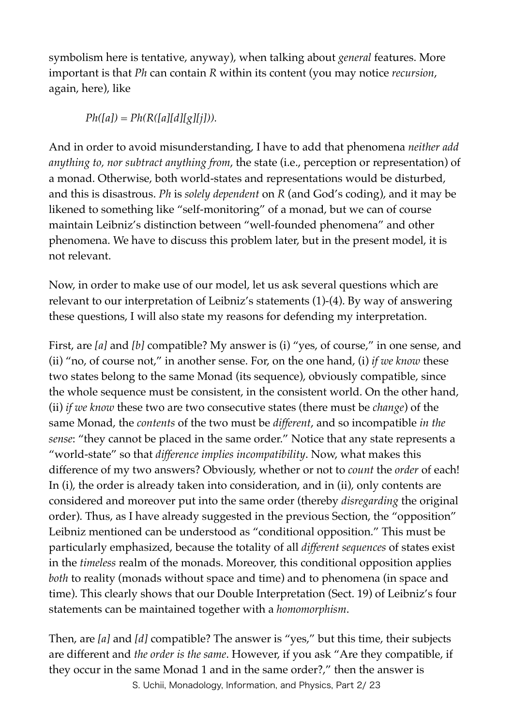symbolism here is tentative, anyway), when talking about *general* features. More important is that *Ph* can contain *R* within its content (you may notice *recursion*, again, here), like

 $Ph([a]) = Ph(R([a][d][g][j]))$ .

And in order to avoid misunderstanding, I have to add that phenomena *neither add anything to, nor subtract anything from*, the state (i.e., perception or representation) of a monad. Otherwise, both world-states and representations would be disturbed, and this is disastrous. *Ph* is *solely dependent* on *R* (and God's coding), and it may be likened to something like "self-monitoring" of a monad, but we can of course maintain Leibniz's distinction between "well-founded phenomena" and other phenomena. We have to discuss this problem later, but in the present model, it is not relevant.

Now, in order to make use of our model, let us ask several questions which are relevant to our interpretation of Leibniz's statements (1)-(4). By way of answering these questions, I will also state my reasons for defending my interpretation.

First, are [a] and [b] compatible? My answer is (i) "yes, of course," in one sense, and (ii) "no, of course not," in another sense. For, on the one hand, (i) *if we know* these two states belong to the same Monad (its sequence), obviously compatible, since the whole sequence must be consistent, in the consistent world. On the other hand, (ii) *if we know* these two are two consecutive states (there must be *change*) of the same Monad, the *contents* of the two must be *different*, and so incompatible *in the sense*: "they cannot be placed in the same order." Notice that any state represents a "world-state" so that *difference implies incompatibility*. Now, what makes this difference of my two answers? Obviously, whether or not to *count* the *order* of each! In (i), the order is already taken into consideration, and in (ii), only contents are considered and moreover put into the same order (thereby *disregarding* the original order). Thus, as I have already suggested in the previous Section, the "opposition" Leibniz mentioned can be understood as "conditional opposition." This must be particularly emphasized, because the totality of all *different sequences* of states exist in the *timeless* realm of the monads. Moreover, this conditional opposition applies *both* to reality (monads without space and time) and to phenomena (in space and time). This clearly shows that our Double Interpretation (Sect. 19) of Leibniz's four statements can be maintained together with a *homomorphism*.

Then, are *[a]* and *[d]* compatible? The answer is "yes," but this time, their subjects are different and *the order is the same*. However, if you ask "Are they compatible, if they occur in the same Monad 1 and in the same order?," then the answer is S. Uchii, Monadology, Information, and Physics, Part 2/ 23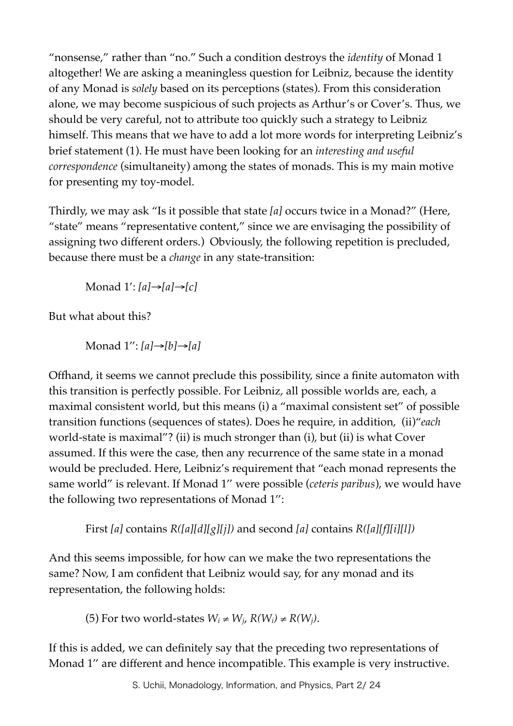"nonsense," rather than "no." Such a condition destroys the *identity* of Monad 1 altogether! We are asking a meaningless question for Leibniz, because the identity of any Monad is *solely* based on its perceptions (states). From this consideration alone, we may become suspicious of such projects as Arthur's or Cover's. Thus, we should be very careful, not to attribute too quickly such a strategy to Leibniz himself. This means that we have to add a lot more words for interpreting Leibniz's brief statement (1). He must have been looking for an *interesting and useful correspondence* (simultaneity) among the states of monads. This is my main motive for presenting my toy-model.

Thirdly, we may ask "Is it possible that state *[a]* occurs twice in a Monad?" (Here, "state" means "representative content," since we are envisaging the possibility of assigning two different orders.) Obviously, the following repetition is precluded, because there must be a *change* in any state-transition:

Monad 1': *[a]*→*[a]*→*[c]*

But what about this?

Monad 1'': *[a]*→*[b]*→*[a]*

Offhand, it seems we cannot preclude this possibility, since a finite automaton with this transition is perfectly possible. For Leibniz, all possible worlds are, each, a maximal consistent world, but this means (i) a "maximal consistent set" of possible transition functions (sequences of states). Does he require, in addition, (ii)"*each* world-state is maximal"? (ii) is much stronger than (i), but (ii) is what Cover assumed. If this were the case, then any recurrence of the same state in a monad would be precluded. Here, Leibniz's requirement that "each monad represents the same world" is relevant. If Monad 1'' were possible (*ceteris paribus*), we would have the following two representations of Monad 1'':

First *[a]* contains *R([a][d][g][j])* and second *[a]* contains *R([a][f][i][l])*

And this seems impossible, for how can we make the two representations the same? Now, I am confident that Leibniz would say, for any monad and its representation, the following holds:

(5) For two world-states  $W_i \neq W_i$ ,  $R(W_i) \neq R(W_i)$ .

If this is added, we can definitely say that the preceding two representations of Monad 1'' are different and hence incompatible. This example is very instructive.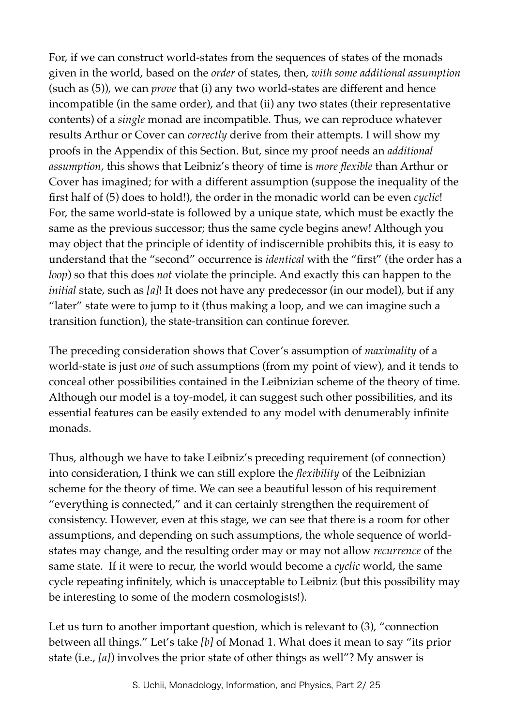For, if we can construct world-states from the sequences of states of the monads given in the world, based on the *order* of states, then, *with some additional assumption*  (such as (5)), we can *prove* that (i) any two world-states are different and hence incompatible (in the same order), and that (ii) any two states (their representative contents) of a *single* monad are incompatible. Thus, we can reproduce whatever results Arthur or Cover can *correctly* derive from their attempts. I will show my proofs in the Appendix of this Section. But, since my proof needs an *additional assumption*, this shows that Leibniz's theory of time is *more flexible* than Arthur or Cover has imagined; for with a different assumption (suppose the inequality of the first half of (5) does to hold!), the order in the monadic world can be even *cyclic*! For, the same world-state is followed by a unique state, which must be exactly the same as the previous successor; thus the same cycle begins anew! Although you may object that the principle of identity of indiscernible prohibits this, it is easy to understand that the "second" occurrence is *identical* with the "first" (the order has a *loop*) so that this does *not* violate the principle. And exactly this can happen to the *initial* state, such as *[a]*! It does not have any predecessor (in our model), but if any "later" state were to jump to it (thus making a loop, and we can imagine such a transition function), the state-transition can continue forever.

The preceding consideration shows that Cover's assumption of *maximality* of a world-state is just *one* of such assumptions (from my point of view), and it tends to conceal other possibilities contained in the Leibnizian scheme of the theory of time. Although our model is a toy-model, it can suggest such other possibilities, and its essential features can be easily extended to any model with denumerably infinite monads.

Thus, although we have to take Leibniz's preceding requirement (of connection) into consideration, I think we can still explore the *flexibility* of the Leibnizian scheme for the theory of time. We can see a beautiful lesson of his requirement "everything is connected," and it can certainly strengthen the requirement of consistency. However, even at this stage, we can see that there is a room for other assumptions, and depending on such assumptions, the whole sequence of worldstates may change, and the resulting order may or may not allow *recurrence* of the same state. If it were to recur, the world would become a *cyclic* world, the same cycle repeating infinitely, which is unacceptable to Leibniz (but this possibility may be interesting to some of the modern cosmologists!).

Let us turn to another important question, which is relevant to (3), "connection between all things." Let's take *[b]* of Monad 1. What does it mean to say "its prior state (i.e., *[a]*) involves the prior state of other things as well"? My answer is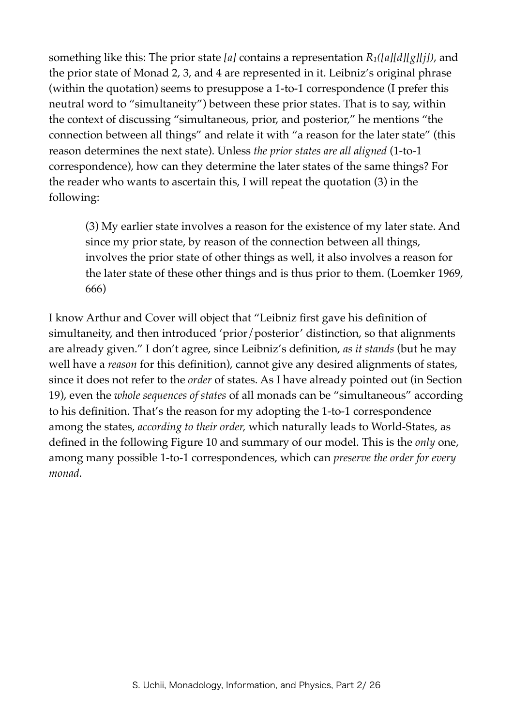something like this: The prior state *[a]* contains a representation *R1([a][d][g][j])*, and the prior state of Monad 2, 3, and 4 are represented in it. Leibniz's original phrase (within the quotation) seems to presuppose a 1-to-1 correspondence (I prefer this neutral word to "simultaneity") between these prior states. That is to say, within the context of discussing "simultaneous, prior, and posterior," he mentions "the connection between all things" and relate it with "a reason for the later state" (this reason determines the next state). Unless *the prior states are all aligned* (1-to-1 correspondence), how can they determine the later states of the same things? For the reader who wants to ascertain this, I will repeat the quotation (3) in the following:

(3) My earlier state involves a reason for the existence of my later state. And since my prior state, by reason of the connection between all things, involves the prior state of other things as well, it also involves a reason for the later state of these other things and is thus prior to them. (Loemker 1969, 666)

I know Arthur and Cover will object that "Leibniz first gave his definition of simultaneity, and then introduced 'prior/posterior' distinction, so that alignments are already given." I don't agree, since Leibniz's definition, *as it stands* (but he may well have a *reason* for this definition), cannot give any desired alignments of states, since it does not refer to the *order* of states. As I have already pointed out (in Section 19), even the *whole sequences of states* of all monads can be "simultaneous" according to his definition. That's the reason for my adopting the 1-to-1 correspondence among the states, *according to their order,* which naturally leads to World-States, as defined in the following Figure 10 and summary of our model. This is the *only* one, among many possible 1-to-1 correspondences, which can *preserve the order for every monad.*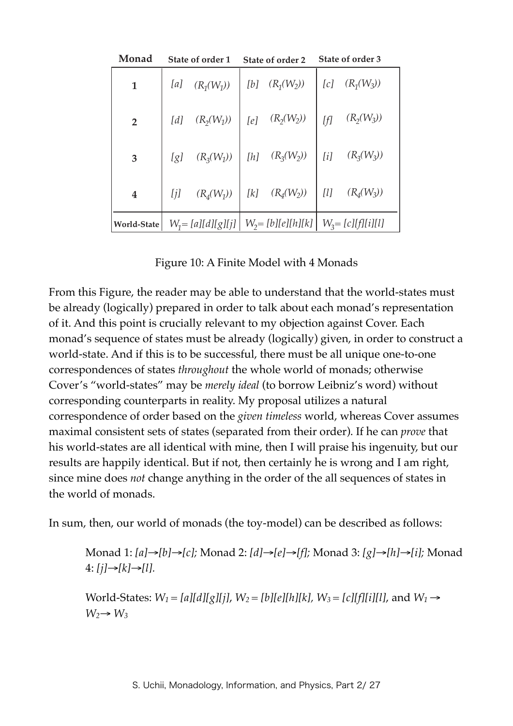| Monad            | State of order 1 |              | State of order 2                             |                        | State of order 3     |              |
|------------------|------------------|--------------|----------------------------------------------|------------------------|----------------------|--------------|
| $\mathbf{1}$     | [a]              | $(R_1(W_1))$ | [b]                                          | $(R_1(W_2))$           | [c]                  | $(R_1(W_3))$ |
| $\overline{2}$   | [d]              | $(R_2(W_1))$ |                                              | $[e]$ $(R_2(W_2))$     | [f]                  | $(R_2(W_3))$ |
| 3                | [g]              | $(R_3(W_1))$ |                                              | $[h] \quad (R_3(W_2))$ | [i]                  | $(R_3(W_3))$ |
| $\boldsymbol{4}$ | [j]              | $(R_4(W_1))$ | $[ k ]$                                      | $(R_4(W_2))$           | [ <sub>l</sub> ]     | $(R_4(W_3))$ |
| World-State      |                  |              | $W_1 = [a][d][g][j] \mid W_2 = [b][e][h][k]$ |                        | $W_3 = [c][f][i][l]$ |              |

Figure 10: A Finite Model with 4 Monads

From this Figure, the reader may be able to understand that the world-states must be already (logically) prepared in order to talk about each monad's representation of it. And this point is crucially relevant to my objection against Cover. Each monad's sequence of states must be already (logically) given, in order to construct a world-state. And if this is to be successful, there must be all unique one-to-one correspondences of states *throughout* the whole world of monads; otherwise Cover's "world-states" may be *merely ideal* (to borrow Leibniz's word) without corresponding counterparts in reality. My proposal utilizes a natural correspondence of order based on the *given timeless* world, whereas Cover assumes maximal consistent sets of states (separated from their order). If he can *prove* that his world-states are all identical with mine, then I will praise his ingenuity, but our results are happily identical. But if not, then certainly he is wrong and I am right, since mine does *not* change anything in the order of the all sequences of states in the world of monads.

In sum, then, our world of monads (the toy-model) can be described as follows:

Monad 1: *[a]*→*[b]*→*[c];* Monad 2: *[d]*→*[e]*→*[f];* Monad 3: *[g]*→*[h]*→*[i];* Monad 4: *[j]*→*[k]*→*[l].*

World-States:  $W_1 = [a][d][g][j], W_2 = [b][e][h][k], W_3 = [c][f][i][l],$  and  $W_1 \rightarrow$  $W_2 \rightarrow W_3$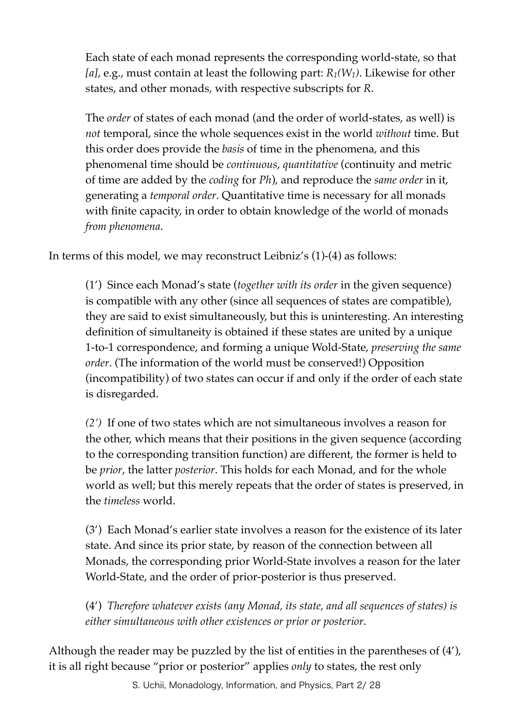Each state of each monad represents the corresponding world-state, so that *[a]*, e.g., must contain at least the following part: *R1(W1)*. Likewise for other states, and other monads, with respective subscripts for *R*.

The *order* of states of each monad (and the order of world-states, as well) is *not* temporal, since the whole sequences exist in the world *without* time. But this order does provide the *basis* of time in the phenomena, and this phenomenal time should be *continuous*, *quantitative* (continuity and metric of time are added by the *coding* for *Ph*), and reproduce the *same order* in it, generating a *temporal order*. Quantitative time is necessary for all monads with finite capacity, in order to obtain knowledge of the world of monads *from phenomena*.

In terms of this model, we may reconstruct Leibniz's (1)-(4) as follows:

(1') Since each Monad's state (*together with its order* in the given sequence) is compatible with any other (since all sequences of states are compatible), they are said to exist simultaneously, but this is uninteresting. An interesting definition of simultaneity is obtained if these states are united by a unique 1-to-1 correspondence, and forming a unique Wold-State, *preserving the same order*. (The information of the world must be conserved!) Opposition (incompatibility) of two states can occur if and only if the order of each state is disregarded.

*(2')* If one of two states which are not simultaneous involves a reason for the other, which means that their positions in the given sequence (according to the corresponding transition function) are different, the former is held to be *prior*, the latter *posterior*. This holds for each Monad, and for the whole world as well; but this merely repeats that the order of states is preserved, in the *timeless* world.

(3') Each Monad's earlier state involves a reason for the existence of its later state. And since its prior state, by reason of the connection between all Monads, the corresponding prior World-State involves a reason for the later World-State, and the order of prior-posterior is thus preserved.

(4') *Therefore whatever exists (any Monad, its state, and all sequences of states) is either simultaneous with other existences or prior or posterior*.

Although the reader may be puzzled by the list of entities in the parentheses of (4'), it is all right because "prior or posterior" applies *only* to states, the rest only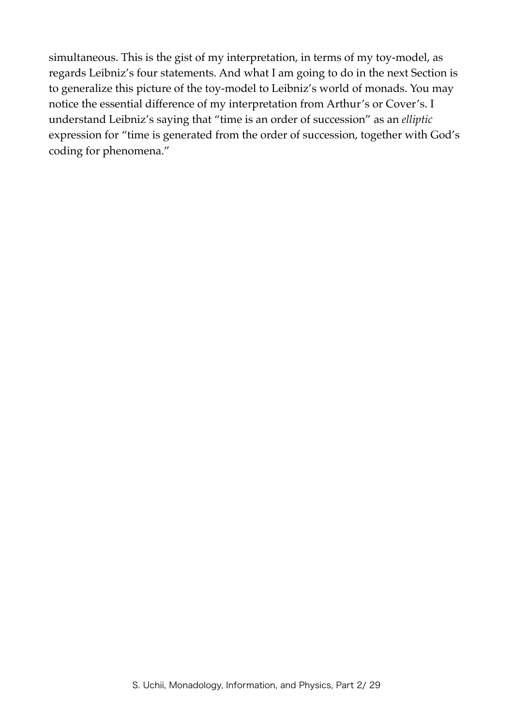simultaneous. This is the gist of my interpretation, in terms of my toy-model, as regards Leibniz's four statements. And what I am going to do in the next Section is to generalize this picture of the toy-model to Leibniz's world of monads. You may notice the essential difference of my interpretation from Arthur's or Cover's. I understand Leibniz's saying that "time is an order of succession" as an *elliptic* expression for "time is generated from the order of succession, together with God's coding for phenomena."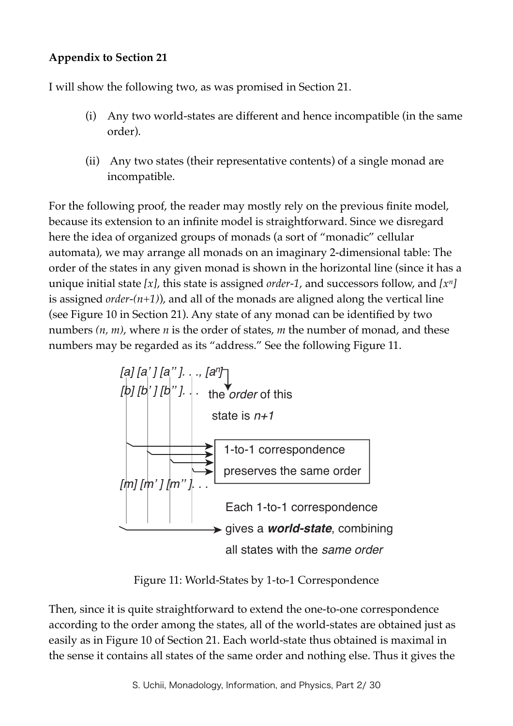# **Appendix to Section 21**

I will show the following two, as was promised in Section 21.

- (i) Any two world-states are different and hence incompatible (in the same order).
- (ii) Any two states (their representative contents) of a single monad are incompatible.

For the following proof, the reader may mostly rely on the previous finite model, because its extension to an infinite model is straightforward. Since we disregard here the idea of organized groups of monads (a sort of "monadic" cellular automata), we may arrange all monads on an imaginary 2-dimensional table: The order of the states in any given monad is shown in the horizontal line (since it has a unique initial state *[x]*, this state is assigned *order-1*, and successors follow, and *[xn]*  is assigned *order-(n+1)*), and all of the monads are aligned along the vertical line (see Figure 10 in Section 21). Any state of any monad can be identified by two numbers *(n, m)*, where *n* is the order of states, *m* the number of monad, and these numbers may be regarded as its "address." See the following Figure 11.



Figure 11: World-States by 1-to-1 Correspondence

Then, since it is quite straightforward to extend the one-to-one correspondence according to the order among the states, all of the world-states are obtained just as easily as in Figure 10 of Section 21. Each world-state thus obtained is maximal in the sense it contains all states of the same order and nothing else. Thus it gives the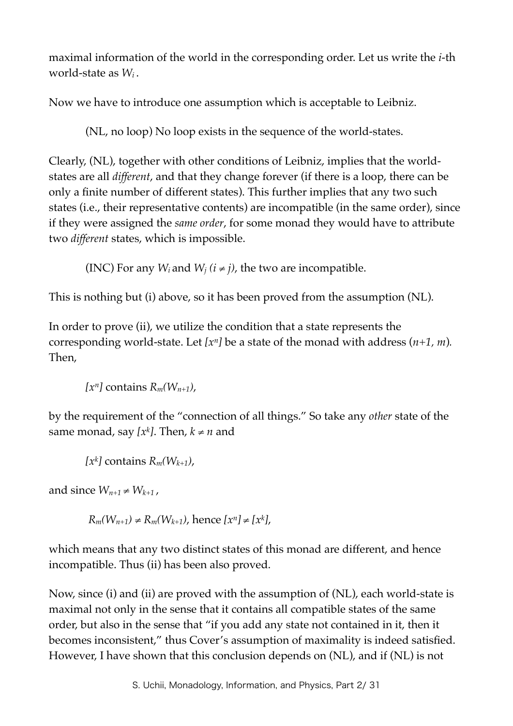maximal information of the world in the corresponding order. Let us write the *i-*th world-state as *Wi* .

Now we have to introduce one assumption which is acceptable to Leibniz.

(NL, no loop) No loop exists in the sequence of the world-states.

Clearly, (NL), together with other conditions of Leibniz, implies that the worldstates are all *different*, and that they change forever (if there is a loop, there can be only a finite number of different states). This further implies that any two such states (i.e., their representative contents) are incompatible (in the same order), since if they were assigned the *same order*, for some monad they would have to attribute two *different* states, which is impossible.

(INC) For any *W<sub>i</sub>* and *W<sub>i</sub>* ( $i \neq j$ ), the two are incompatible.

This is nothing but (i) above, so it has been proved from the assumption (NL).

In order to prove (ii), we utilize the condition that a state represents the corresponding world-state. Let  $[x^n]$  be a state of the monad with address  $(n+1, m)$ . Then,

 $[x^n]$  contains  $R_m(W_{n+1})$ ,

by the requirement of the "connection of all things." So take any *other* state of the same monad, say  $[x^k]$ . Then,  $k \neq n$  and

```
[x^k] contains R_m(W_{k+1}),
```
and since  $W_{n+1} \neq W_{k+1}$ ,

*R<sub>m</sub>*(*W<sub>n+1</sub>*) ≠ *R<sub>m</sub>*(*W<sub>k+1</sub>*), hence  $[x^n] ≠ [x^k]$ ,

which means that any two distinct states of this monad are different, and hence incompatible. Thus (ii) has been also proved.

Now, since (i) and (ii) are proved with the assumption of (NL), each world-state is maximal not only in the sense that it contains all compatible states of the same order, but also in the sense that "if you add any state not contained in it, then it becomes inconsistent," thus Cover's assumption of maximality is indeed satisfied. However, I have shown that this conclusion depends on (NL), and if (NL) is not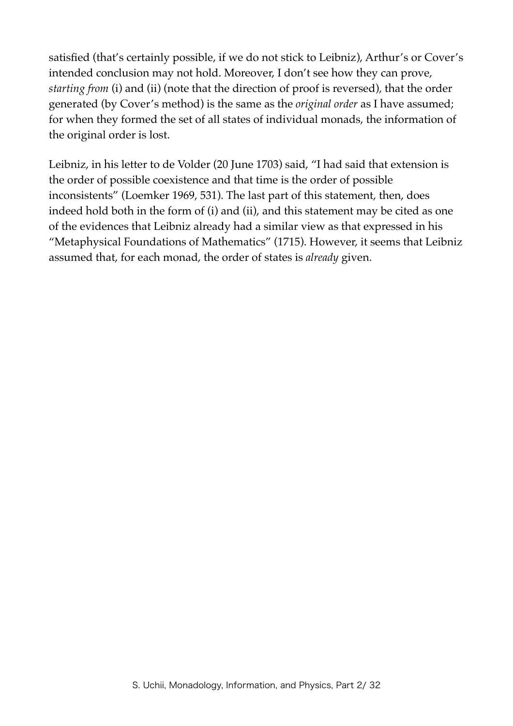satisfied (that's certainly possible, if we do not stick to Leibniz), Arthur's or Cover's intended conclusion may not hold. Moreover, I don't see how they can prove, *starting from* (i) and (ii) (note that the direction of proof is reversed), that the order generated (by Cover's method) is the same as the *original order* as I have assumed; for when they formed the set of all states of individual monads, the information of the original order is lost.

Leibniz, in his letter to de Volder (20 June 1703) said, "I had said that extension is the order of possible coexistence and that time is the order of possible inconsistents" (Loemker 1969, 531). The last part of this statement, then, does indeed hold both in the form of (i) and (ii), and this statement may be cited as one of the evidences that Leibniz already had a similar view as that expressed in his "Metaphysical Foundations of Mathematics" (1715). However, it seems that Leibniz assumed that, for each monad, the order of states is *already* given.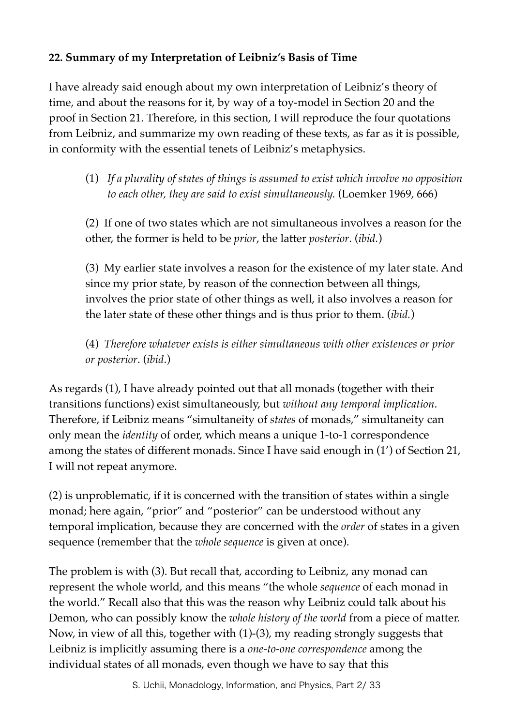# **22. Summary of my Interpretation of Leibniz's Basis of Time**

I have already said enough about my own interpretation of Leibniz's theory of time, and about the reasons for it, by way of a toy-model in Section 20 and the proof in Section 21. Therefore, in this section, I will reproduce the four quotations from Leibniz, and summarize my own reading of these texts, as far as it is possible, in conformity with the essential tenets of Leibniz's metaphysics.

(1) *If a plurality of states of things is assumed to exist which involve no opposition to each other, they are said to exist simultaneously.* (Loemker 1969, 666)

(2) If one of two states which are not simultaneous involves a reason for the other, the former is held to be *prior*, the latter *posterior*. (*ibid.*)

(3) My earlier state involves a reason for the existence of my later state. And since my prior state, by reason of the connection between all things, involves the prior state of other things as well, it also involves a reason for the later state of these other things and is thus prior to them. (*ibid.*)

(4) *Therefore whatever exists is either simultaneous with other existences or prior or posterior*. (*ibid*.)

As regards (1), I have already pointed out that all monads (together with their transitions functions) exist simultaneously, but *without any temporal implication*. Therefore, if Leibniz means "simultaneity of *states* of monads," simultaneity can only mean the *identity* of order, which means a unique 1-to-1 correspondence among the states of different monads. Since I have said enough in (1') of Section 21, I will not repeat anymore.

(2) is unproblematic, if it is concerned with the transition of states within a single monad; here again, "prior" and "posterior" can be understood without any temporal implication, because they are concerned with the *order* of states in a given sequence (remember that the *whole sequence* is given at once).

The problem is with (3). But recall that, according to Leibniz, any monad can represent the whole world, and this means "the whole *sequence* of each monad in the world." Recall also that this was the reason why Leibniz could talk about his Demon, who can possibly know the *whole history of the world* from a piece of matter. Now, in view of all this, together with (1)-(3), my reading strongly suggests that Leibniz is implicitly assuming there is a *one-to-one correspondence* among the individual states of all monads, even though we have to say that this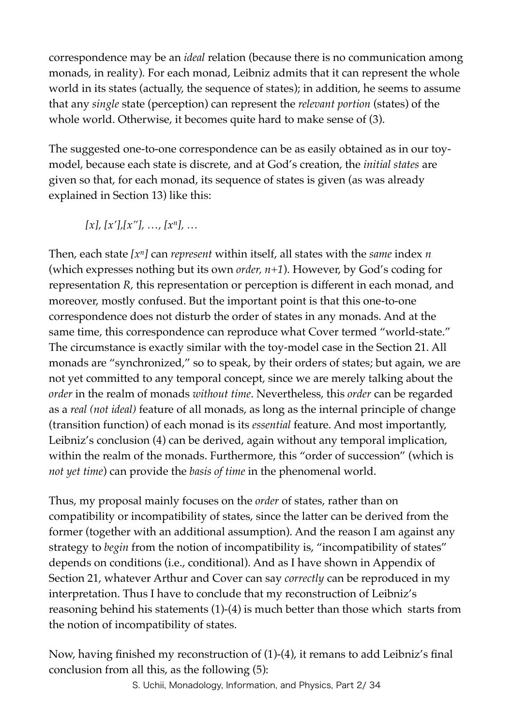correspondence may be an *ideal* relation (because there is no communication among monads, in reality). For each monad, Leibniz admits that it can represent the whole world in its states (actually, the sequence of states); in addition, he seems to assume that any *single* state (perception) can represent the *relevant portion* (states) of the whole world. Otherwise, it becomes quite hard to make sense of (3).

The suggested one-to-one correspondence can be as easily obtained as in our toymodel, because each state is discrete, and at God's creation, the *initial states* are given so that, for each monad, its sequence of states is given (as was already explained in Section 13) like this:

*[x], [x'],[x''], …, [xn], …*

Then, each state *[xn]* can *represent* within itself, all states with the *same* index *n* (which expresses nothing but its own *order, n+1*). However, by God's coding for representation *R*, this representation or perception is different in each monad, and moreover, mostly confused. But the important point is that this one-to-one correspondence does not disturb the order of states in any monads. And at the same time, this correspondence can reproduce what Cover termed "world-state." The circumstance is exactly similar with the toy-model case in the Section 21. All monads are "synchronized," so to speak, by their orders of states; but again, we are not yet committed to any temporal concept, since we are merely talking about the *order* in the realm of monads *without time*. Nevertheless, this *order* can be regarded as a *real (not ideal)* feature of all monads, as long as the internal principle of change (transition function) of each monad is its *essential* feature. And most importantly, Leibniz's conclusion (4) can be derived, again without any temporal implication, within the realm of the monads. Furthermore, this "order of succession" (which is *not yet time*) can provide the *basis of time* in the phenomenal world.

Thus, my proposal mainly focuses on the *order* of states, rather than on compatibility or incompatibility of states, since the latter can be derived from the former (together with an additional assumption). And the reason I am against any strategy to *begin* from the notion of incompatibility is, "incompatibility of states" depends on conditions (i.e., conditional). And as I have shown in Appendix of Section 21, whatever Arthur and Cover can say *correctly* can be reproduced in my interpretation. Thus I have to conclude that my reconstruction of Leibniz's reasoning behind his statements (1)-(4) is much better than those which starts from the notion of incompatibility of states.

Now, having finished my reconstruction of (1)-(4), it remans to add Leibniz's final conclusion from all this, as the following (5):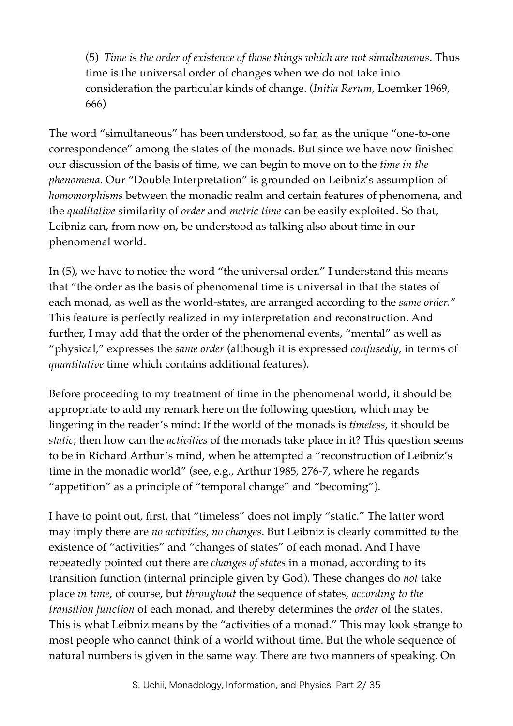(5) *Time is the order of existence of those things which are not simultaneous*. Thus time is the universal order of changes when we do not take into consideration the particular kinds of change. (*Initia Rerum*, Loemker 1969, 666)

The word "simultaneous" has been understood, so far, as the unique "one-to-one correspondence" among the states of the monads. But since we have now finished our discussion of the basis of time, we can begin to move on to the *time in the phenomena*. Our "Double Interpretation" is grounded on Leibniz's assumption of *homomorphisms* between the monadic realm and certain features of phenomena, and the *qualitative* similarity of *order* and *metric time* can be easily exploited. So that, Leibniz can, from now on, be understood as talking also about time in our phenomenal world.

In (5), we have to notice the word "the universal order." I understand this means that "the order as the basis of phenomenal time is universal in that the states of each monad, as well as the world-states, are arranged according to the *same order."* This feature is perfectly realized in my interpretation and reconstruction. And further, I may add that the order of the phenomenal events, "mental" as well as "physical," expresses the *same order* (although it is expressed *confusedly*, in terms of *quantitative* time which contains additional features).

Before proceeding to my treatment of time in the phenomenal world, it should be appropriate to add my remark here on the following question, which may be lingering in the reader's mind: If the world of the monads is *timeless*, it should be *static*; then how can the *activities* of the monads take place in it? This question seems to be in Richard Arthur's mind, when he attempted a "reconstruction of Leibniz's time in the monadic world" (see, e.g., Arthur 1985, 276-7, where he regards "appetition" as a principle of "temporal change" and "becoming").

I have to point out, first, that "timeless" does not imply "static." The latter word may imply there are *no activities*, *no changes*. But Leibniz is clearly committed to the existence of "activities" and "changes of states" of each monad. And I have repeatedly pointed out there are *changes of states* in a monad, according to its transition function (internal principle given by God). These changes do *not* take place *in time*, of course, but *throughout* the sequence of states, *according to the transition function* of each monad, and thereby determines the *order* of the states. This is what Leibniz means by the "activities of a monad." This may look strange to most people who cannot think of a world without time. But the whole sequence of natural numbers is given in the same way. There are two manners of speaking. On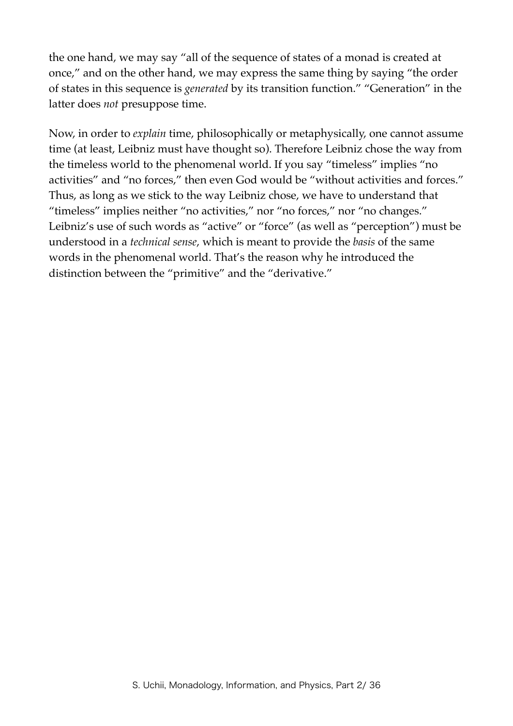the one hand, we may say "all of the sequence of states of a monad is created at once," and on the other hand, we may express the same thing by saying "the order of states in this sequence is *generated* by its transition function." "Generation" in the latter does *not* presuppose time.

Now, in order to *explain* time, philosophically or metaphysically, one cannot assume time (at least, Leibniz must have thought so). Therefore Leibniz chose the way from the timeless world to the phenomenal world. If you say "timeless" implies "no activities" and "no forces," then even God would be "without activities and forces." Thus, as long as we stick to the way Leibniz chose, we have to understand that "timeless" implies neither "no activities," nor "no forces," nor "no changes." Leibniz's use of such words as "active" or "force" (as well as "perception") must be understood in a *technical sense*, which is meant to provide the *basis* of the same words in the phenomenal world. That's the reason why he introduced the distinction between the "primitive" and the "derivative."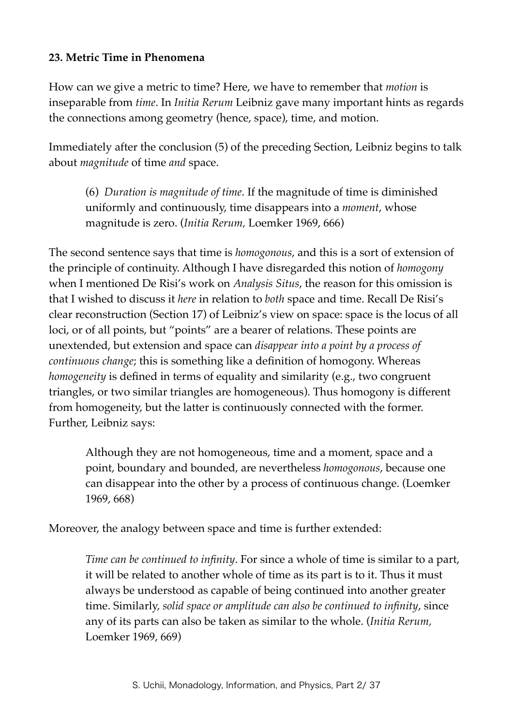## **23. Metric Time in Phenomena**

How can we give a metric to time? Here, we have to remember that *motion* is inseparable from *time*. In *Initia Rerum* Leibniz gave many important hints as regards the connections among geometry (hence, space), time, and motion.

Immediately after the conclusion (5) of the preceding Section, Leibniz begins to talk about *magnitude* of time *and* space.

(6) *Duration is magnitude of time*. If the magnitude of time is diminished uniformly and continuously, time disappears into a *moment*, whose magnitude is zero. (*Initia Rerum,* Loemker 1969, 666)

The second sentence says that time is *homogonous*, and this is a sort of extension of the principle of continuity. Although I have disregarded this notion of *homogony* when I mentioned De Risi's work on *Analysis Situs*, the reason for this omission is that I wished to discuss it *here* in relation to *both* space and time. Recall De Risi's clear reconstruction (Section 17) of Leibniz's view on space: space is the locus of all loci, or of all points, but "points" are a bearer of relations. These points are unextended, but extension and space can *disappear into a point by a process of continuous change*; this is something like a definition of homogony. Whereas *homogeneity* is defined in terms of equality and similarity (e.g., two congruent triangles, or two similar triangles are homogeneous). Thus homogony is different from homogeneity, but the latter is continuously connected with the former. Further, Leibniz says:

Although they are not homogeneous, time and a moment, space and a point, boundary and bounded, are nevertheless *homogonous*, because one can disappear into the other by a process of continuous change. (Loemker 1969, 668)

Moreover, the analogy between space and time is further extended:

*Time can be continued to infinity*. For since a whole of time is similar to a part, it will be related to another whole of time as its part is to it. Thus it must always be understood as capable of being continued into another greater time. Similarly, *solid space or amplitude can also be continued to infinity*, since any of its parts can also be taken as similar to the whole. (*Initia Rerum,*  Loemker 1969, 669)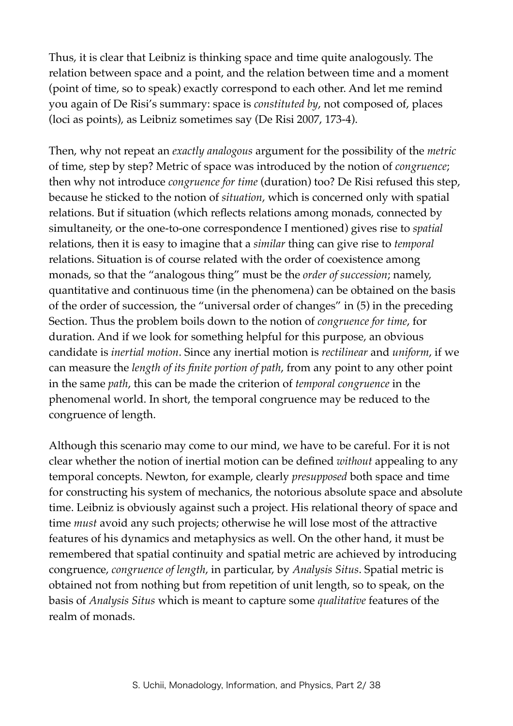Thus, it is clear that Leibniz is thinking space and time quite analogously. The relation between space and a point, and the relation between time and a moment (point of time, so to speak) exactly correspond to each other. And let me remind you again of De Risi's summary: space is *constituted by*, not composed of, places (loci as points), as Leibniz sometimes say (De Risi 2007, 173-4).

Then, why not repeat an *exactly analogous* argument for the possibility of the *metric* of time, step by step? Metric of space was introduced by the notion of *congruence*; then why not introduce *congruence for time* (duration) too? De Risi refused this step, because he sticked to the notion of *situation*, which is concerned only with spatial relations. But if situation (which reflects relations among monads, connected by simultaneity, or the one-to-one correspondence I mentioned) gives rise to *spatial* relations, then it is easy to imagine that a *similar* thing can give rise to *temporal* relations. Situation is of course related with the order of coexistence among monads, so that the "analogous thing" must be the *order of succession*; namely, quantitative and continuous time (in the phenomena) can be obtained on the basis of the order of succession, the "universal order of changes" in (5) in the preceding Section. Thus the problem boils down to the notion of *congruence for time*, for duration. And if we look for something helpful for this purpose, an obvious candidate is *inertial motion*. Since any inertial motion is *rectilinear* and *uniform*, if we can measure the *length of its finite portion of path*, from any point to any other point in the same *path*, this can be made the criterion of *temporal congruence* in the phenomenal world. In short, the temporal congruence may be reduced to the congruence of length.

Although this scenario may come to our mind, we have to be careful. For it is not clear whether the notion of inertial motion can be defined *without* appealing to any temporal concepts. Newton, for example, clearly *presupposed* both space and time for constructing his system of mechanics, the notorious absolute space and absolute time. Leibniz is obviously against such a project. His relational theory of space and time *must* avoid any such projects; otherwise he will lose most of the attractive features of his dynamics and metaphysics as well. On the other hand, it must be remembered that spatial continuity and spatial metric are achieved by introducing congruence, *congruence of length*, in particular, by *Analysis Situs*. Spatial metric is obtained not from nothing but from repetition of unit length, so to speak, on the basis of *Analysis Situs* which is meant to capture some *qualitative* features of the realm of monads.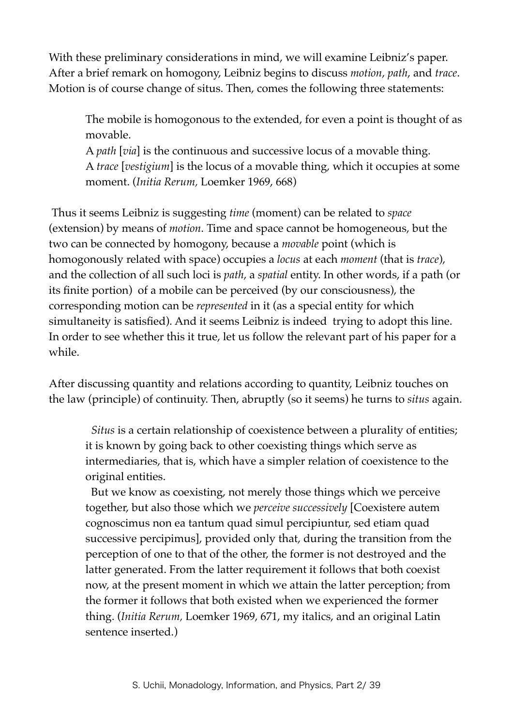With these preliminary considerations in mind, we will examine Leibniz's paper. After a brief remark on homogony, Leibniz begins to discuss *motion*, *path*, and *trace*. Motion is of course change of situs. Then, comes the following three statements:

The mobile is homogonous to the extended, for even a point is thought of as movable.

A *path* [*via*] is the continuous and successive locus of a movable thing. A *trace* [*vestigium*] is the locus of a movable thing, which it occupies at some moment. (*Initia Rerum,* Loemker 1969, 668)

 Thus it seems Leibniz is suggesting *time* (moment) can be related to *space* (extension) by means of *motion*. Time and space cannot be homogeneous, but the two can be connected by homogony, because a *movable* point (which is homogonously related with space) occupies a *locus* at each *moment* (that is *trace*), and the collection of all such loci is *path*, a *spatial* entity. In other words, if a path (or its finite portion) of a mobile can be perceived (by our consciousness), the corresponding motion can be *represented* in it (as a special entity for which simultaneity is satisfied). And it seems Leibniz is indeed trying to adopt this line. In order to see whether this it true, let us follow the relevant part of his paper for a while.

After discussing quantity and relations according to quantity, Leibniz touches on the law (principle) of continuity. Then, abruptly (so it seems) he turns to *situs* again.

 *Situs* is a certain relationship of coexistence between a plurality of entities; it is known by going back to other coexisting things which serve as intermediaries, that is, which have a simpler relation of coexistence to the original entities.

 But we know as coexisting, not merely those things which we perceive together, but also those which we *perceive successively* [Coexistere autem cognoscimus non ea tantum quad simul percipiuntur, sed etiam quad successive percipimus], provided only that, during the transition from the perception of one to that of the other, the former is not destroyed and the latter generated. From the latter requirement it follows that both coexist now, at the present moment in which we attain the latter perception; from the former it follows that both existed when we experienced the former thing. (*Initia Rerum,* Loemker 1969, 671, my italics, and an original Latin sentence inserted.)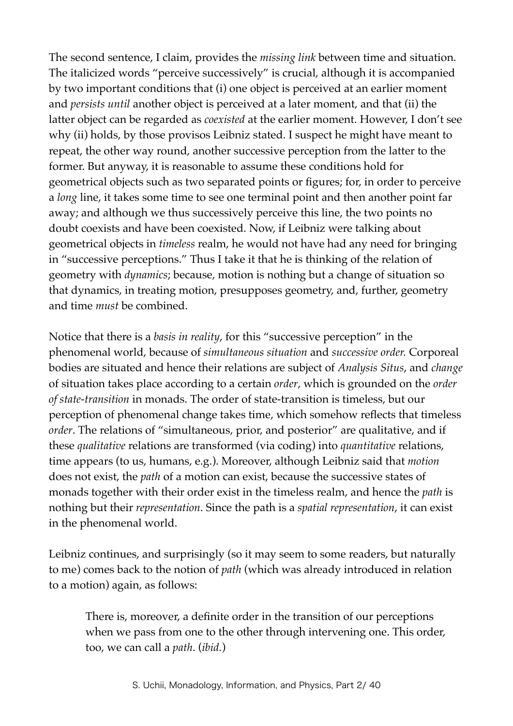The second sentence, I claim, provides the *missing link* between time and situation. The italicized words "perceive successively" is crucial, although it is accompanied by two important conditions that (i) one object is perceived at an earlier moment and *persists until* another object is perceived at a later moment, and that (ii) the latter object can be regarded as *coexisted* at the earlier moment. However, I don't see why (ii) holds, by those provisos Leibniz stated. I suspect he might have meant to repeat, the other way round, another successive perception from the latter to the former. But anyway, it is reasonable to assume these conditions hold for geometrical objects such as two separated points or figures; for, in order to perceive a *long* line, it takes some time to see one terminal point and then another point far away; and although we thus successively perceive this line, the two points no doubt coexists and have been coexisted. Now, if Leibniz were talking about geometrical objects in *timeless* realm, he would not have had any need for bringing in "successive perceptions." Thus I take it that he is thinking of the relation of geometry with *dynamics*; because, motion is nothing but a change of situation so that dynamics, in treating motion, presupposes geometry, and, further, geometry and time *must* be combined.

Notice that there is a *basis in reality*, for this "successive perception" in the phenomenal world, because of *simultaneous situation* and *successive order.* Corporeal bodies are situated and hence their relations are subject of *Analysis Situs*, and *change* of situation takes place according to a certain *order*, which is grounded on the *order of state-transition* in monads. The order of state-transition is timeless, but our perception of phenomenal change takes time, which somehow reflects that timeless *order*. The relations of "simultaneous, prior, and posterior" are qualitative, and if these *qualitative* relations are transformed (via coding) into *quantitative* relations, time appears (to us, humans, e.g.). Moreover, although Leibniz said that *motion* does not exist, the *path* of a motion can exist, because the successive states of monads together with their order exist in the timeless realm, and hence the *path* is nothing but their *representation*. Since the path is a *spatial representation*, it can exist in the phenomenal world.

Leibniz continues, and surprisingly (so it may seem to some readers, but naturally to me) comes back to the notion of *path* (which was already introduced in relation to a motion) again, as follows:

There is, moreover, a definite order in the transition of our perceptions when we pass from one to the other through intervening one. This order, too, we can call a *path*. (*ibid.*)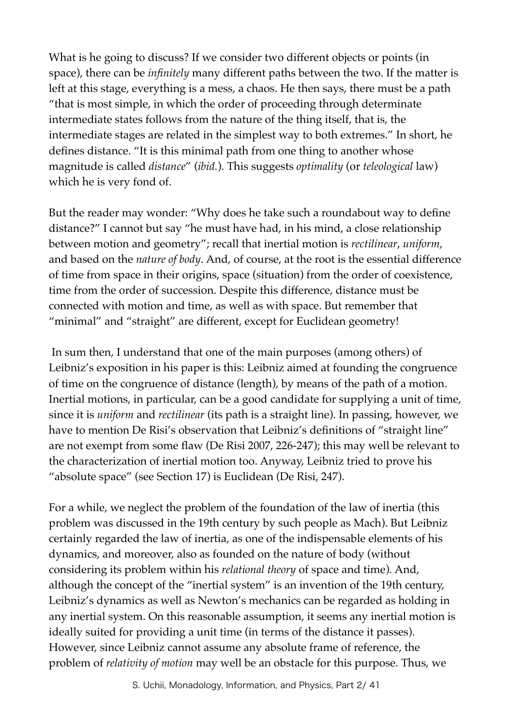What is he going to discuss? If we consider two different objects or points (in space), there can be *infinitely* many different paths between the two. If the matter is left at this stage, everything is a mess, a chaos. He then says, there must be a path "that is most simple, in which the order of proceeding through determinate intermediate states follows from the nature of the thing itself, that is, the intermediate stages are related in the simplest way to both extremes." In short, he defines distance. "It is this minimal path from one thing to another whose magnitude is called *distance*" (*ibid.*). This suggests *optimality* (or *teleological* law) which he is very fond of.

But the reader may wonder: "Why does he take such a roundabout way to define distance?" I cannot but say "he must have had, in his mind, a close relationship between motion and geometry"; recall that inertial motion is *rectilinear*, *uniform*, and based on the *nature of body*. And, of course, at the root is the essential difference of time from space in their origins, space (situation) from the order of coexistence, time from the order of succession. Despite this difference, distance must be connected with motion and time, as well as with space. But remember that "minimal" and "straight" are different, except for Euclidean geometry!

 In sum then, I understand that one of the main purposes (among others) of Leibniz's exposition in his paper is this: Leibniz aimed at founding the congruence of time on the congruence of distance (length), by means of the path of a motion. Inertial motions, in particular, can be a good candidate for supplying a unit of time, since it is *uniform* and *rectilinear* (its path is a straight line). In passing, however, we have to mention De Risi's observation that Leibniz's definitions of "straight line" are not exempt from some flaw (De Risi 2007, 226-247); this may well be relevant to the characterization of inertial motion too. Anyway, Leibniz tried to prove his "absolute space" (see Section 17) is Euclidean (De Risi, 247).

For a while, we neglect the problem of the foundation of the law of inertia (this problem was discussed in the 19th century by such people as Mach). But Leibniz certainly regarded the law of inertia, as one of the indispensable elements of his dynamics, and moreover, also as founded on the nature of body (without considering its problem within his *relational theory* of space and time). And, although the concept of the "inertial system" is an invention of the 19th century, Leibniz's dynamics as well as Newton's mechanics can be regarded as holding in any inertial system. On this reasonable assumption, it seems any inertial motion is ideally suited for providing a unit time (in terms of the distance it passes). However, since Leibniz cannot assume any absolute frame of reference, the problem of *relativity of motion* may well be an obstacle for this purpose. Thus, we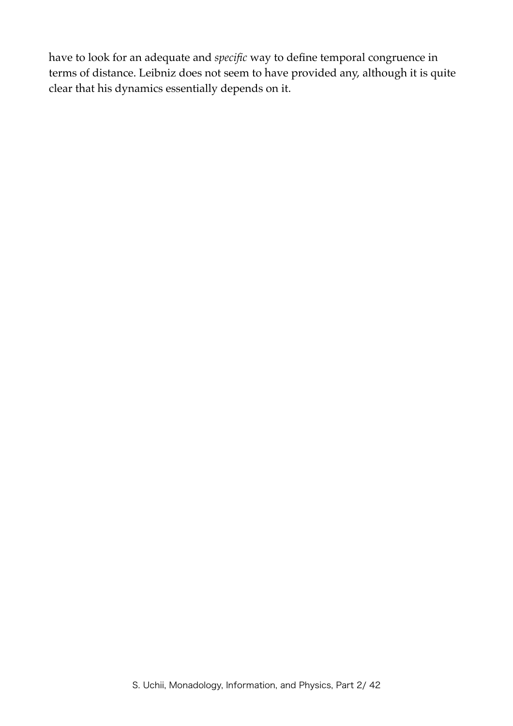have to look for an adequate and *specific* way to define temporal congruence in terms of distance. Leibniz does not seem to have provided any, although it is quite clear that his dynamics essentially depends on it.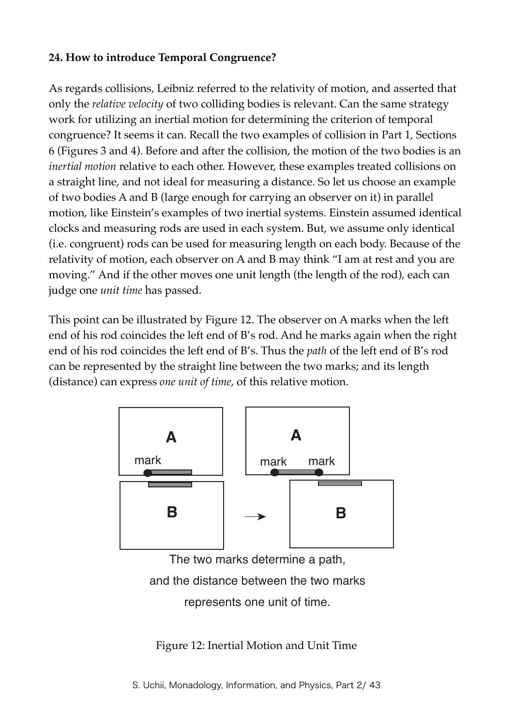#### **24. How to introduce Temporal Congruence?**

As regards collisions, Leibniz referred to the relativity of motion, and asserted that only the *relative velocity* of two colliding bodies is relevant. Can the same strategy work for utilizing an inertial motion for determining the criterion of temporal congruence? It seems it can. Recall the two examples of collision in Part 1, Sections 6 (Figures 3 and 4). Before and after the collision, the motion of the two bodies is an *inertial motion* relative to each other. However, these examples treated collisions on a straight line, and not ideal for measuring a distance. So let us choose an example of two bodies A and B (large enough for carrying an observer on it) in parallel motion, like Einstein's examples of two inertial systems. Einstein assumed identical clocks and measuring rods are used in each system. But, we assume only identical (i.e. congruent) rods can be used for measuring length on each body. Because of the relativity of motion, each observer on A and B may think "I am at rest and you are moving." And if the other moves one unit length (the length of the rod), each can judge one *unit time* has passed.

This point can be illustrated by Figure 12. The observer on A marks when the left end of his rod coincides the left end of B's rod. And he marks again when the right end of his rod coincides the left end of B's. Thus the *path* of the left end of B's rod can be represented by the straight line between the two marks; and its length (distance) can express *one unit of time*, of this relative motion.



The two marks determine a path, and the distance between the two marks represents one unit of time.

Figure 12: Inertial Motion and Unit Time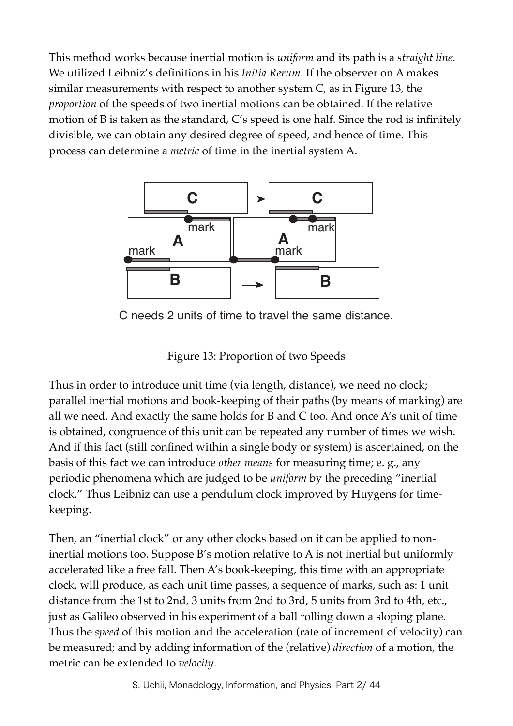This method works because inertial motion is *uniform* and its path is a *straight line*. We utilized Leibniz's definitions in his *Initia Rerum.* If the observer on A makes similar measurements with respect to another system C, as in Figure 13, the *proportion* of the speeds of two inertial motions can be obtained. If the relative motion of B is taken as the standard, C's speed is one half. Since the rod is infinitely divisible, we can obtain any desired degree of speed, and hence of time. This process can determine a *metric* of time in the inertial system A.



C needs 2 units of time to travel the same distance.

Figure 13: Proportion of two Speeds

Thus in order to introduce unit time (via length, distance), we need no clock; parallel inertial motions and book-keeping of their paths (by means of marking) are all we need. And exactly the same holds for B and C too. And once A's unit of time is obtained, congruence of this unit can be repeated any number of times we wish. And if this fact (still confined within a single body or system) is ascertained, on the basis of this fact we can introduce *other means* for measuring time; e. g., any periodic phenomena which are judged to be *uniform* by the preceding "inertial clock." Thus Leibniz can use a pendulum clock improved by Huygens for timekeeping.

Then, an "inertial clock" or any other clocks based on it can be applied to noninertial motions too. Suppose B's motion relative to A is not inertial but uniformly accelerated like a free fall. Then A's book-keeping, this time with an appropriate clock, will produce, as each unit time passes, a sequence of marks, such as: 1 unit distance from the 1st to 2nd, 3 units from 2nd to 3rd, 5 units from 3rd to 4th, etc., just as Galileo observed in his experiment of a ball rolling down a sloping plane. Thus the *speed* of this motion and the acceleration (rate of increment of velocity) can be measured; and by adding information of the (relative) *direction* of a motion, the metric can be extended to *velocity*.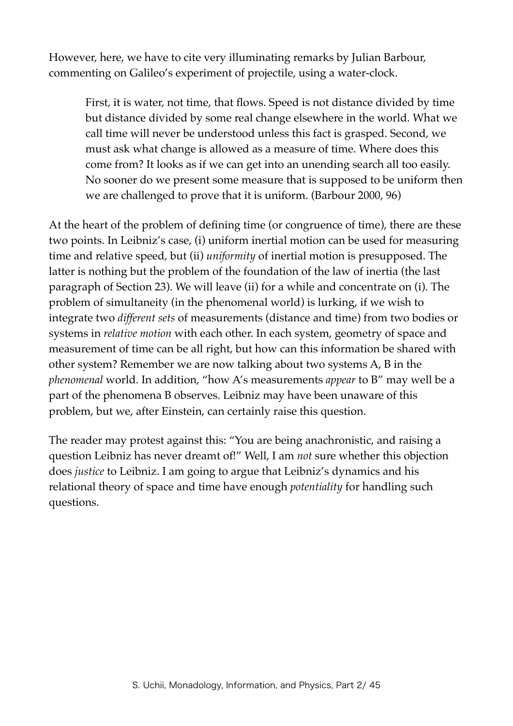However, here, we have to cite very illuminating remarks by Julian Barbour, commenting on Galileo's experiment of projectile, using a water-clock.

First, it is water, not time, that flows. Speed is not distance divided by time but distance divided by some real change elsewhere in the world. What we call time will never be understood unless this fact is grasped. Second, we must ask what change is allowed as a measure of time. Where does this come from? It looks as if we can get into an unending search all too easily. No sooner do we present some measure that is supposed to be uniform then we are challenged to prove that it is uniform. (Barbour 2000, 96)

At the heart of the problem of defining time (or congruence of time), there are these two points. In Leibniz's case, (i) uniform inertial motion can be used for measuring time and relative speed, but (ii) *uniformity* of inertial motion is presupposed. The latter is nothing but the problem of the foundation of the law of inertia (the last paragraph of Section 23). We will leave (ii) for a while and concentrate on (i). The problem of simultaneity (in the phenomenal world) is lurking, if we wish to integrate two *different sets* of measurements (distance and time) from two bodies or systems in *relative motion* with each other. In each system, geometry of space and measurement of time can be all right, but how can this information be shared with other system? Remember we are now talking about two systems A, B in the *phenomenal* world. In addition, "how A's measurements *appear* to B" may well be a part of the phenomena B observes. Leibniz may have been unaware of this problem, but we, after Einstein, can certainly raise this question.

The reader may protest against this: "You are being anachronistic, and raising a question Leibniz has never dreamt of!" Well, I am *not* sure whether this objection does *justice* to Leibniz. I am going to argue that Leibniz's dynamics and his relational theory of space and time have enough *potentiality* for handling such questions.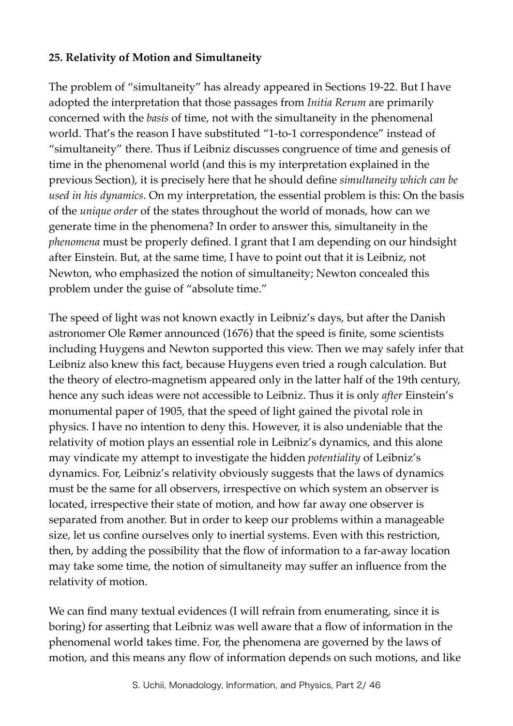## **25. Relativity of Motion and Simultaneity**

The problem of "simultaneity" has already appeared in Sections 19-22. But I have adopted the interpretation that those passages from *Initia Rerum* are primarily concerned with the *basis* of time, not with the simultaneity in the phenomenal world. That's the reason I have substituted "1-to-1 correspondence" instead of "simultaneity" there. Thus if Leibniz discusses congruence of time and genesis of time in the phenomenal world (and this is my interpretation explained in the previous Section), it is precisely here that he should define *simultaneity which can be used in his dynamics*. On my interpretation, the essential problem is this: On the basis of the *unique order* of the states throughout the world of monads, how can we generate time in the phenomena? In order to answer this, simultaneity in the *phenomena* must be properly defined. I grant that I am depending on our hindsight after Einstein. But, at the same time, I have to point out that it is Leibniz, not Newton, who emphasized the notion of simultaneity; Newton concealed this problem under the guise of "absolute time."

The speed of light was not known exactly in Leibniz's days, but after the Danish astronomer Ole Rømer announced (1676) that the speed is finite, some scientists including Huygens and Newton supported this view. Then we may safely infer that Leibniz also knew this fact, because Huygens even tried a rough calculation. But the theory of electro-magnetism appeared only in the latter half of the 19th century, hence any such ideas were not accessible to Leibniz. Thus it is only *after* Einstein's monumental paper of 1905, that the speed of light gained the pivotal role in physics. I have no intention to deny this. However, it is also undeniable that the relativity of motion plays an essential role in Leibniz's dynamics, and this alone may vindicate my attempt to investigate the hidden *potentiality* of Leibniz's dynamics. For, Leibniz's relativity obviously suggests that the laws of dynamics must be the same for all observers, irrespective on which system an observer is located, irrespective their state of motion, and how far away one observer is separated from another. But in order to keep our problems within a manageable size, let us confine ourselves only to inertial systems. Even with this restriction, then, by adding the possibility that the flow of information to a far-away location may take some time, the notion of simultaneity may suffer an influence from the relativity of motion.

We can find many textual evidences (I will refrain from enumerating, since it is boring) for asserting that Leibniz was well aware that a flow of information in the phenomenal world takes time. For, the phenomena are governed by the laws of motion, and this means any flow of information depends on such motions, and like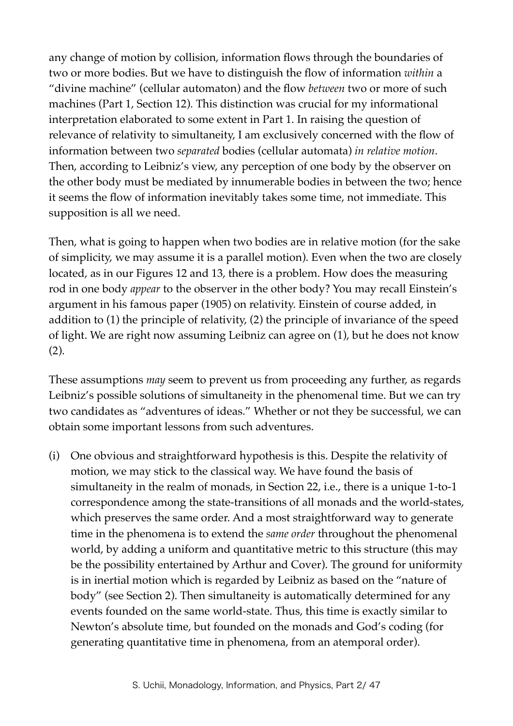any change of motion by collision, information flows through the boundaries of two or more bodies. But we have to distinguish the flow of information *within* a "divine machine" (cellular automaton) and the flow *between* two or more of such machines (Part 1, Section 12). This distinction was crucial for my informational interpretation elaborated to some extent in Part 1. In raising the question of relevance of relativity to simultaneity, I am exclusively concerned with the flow of information between two *separated* bodies (cellular automata) *in relative motion*. Then, according to Leibniz's view, any perception of one body by the observer on the other body must be mediated by innumerable bodies in between the two; hence it seems the flow of information inevitably takes some time, not immediate. This supposition is all we need.

Then, what is going to happen when two bodies are in relative motion (for the sake of simplicity, we may assume it is a parallel motion). Even when the two are closely located, as in our Figures 12 and 13, there is a problem. How does the measuring rod in one body *appear* to the observer in the other body? You may recall Einstein's argument in his famous paper (1905) on relativity. Einstein of course added, in addition to (1) the principle of relativity, (2) the principle of invariance of the speed of light. We are right now assuming Leibniz can agree on (1), but he does not know (2).

These assumptions *may* seem to prevent us from proceeding any further, as regards Leibniz's possible solutions of simultaneity in the phenomenal time. But we can try two candidates as "adventures of ideas." Whether or not they be successful, we can obtain some important lessons from such adventures.

(i) One obvious and straightforward hypothesis is this. Despite the relativity of motion, we may stick to the classical way. We have found the basis of simultaneity in the realm of monads, in Section 22, i.e., there is a unique 1-to-1 correspondence among the state-transitions of all monads and the world-states, which preserves the same order. And a most straightforward way to generate time in the phenomena is to extend the *same order* throughout the phenomenal world, by adding a uniform and quantitative metric to this structure (this may be the possibility entertained by Arthur and Cover). The ground for uniformity is in inertial motion which is regarded by Leibniz as based on the "nature of body" (see Section 2). Then simultaneity is automatically determined for any events founded on the same world-state. Thus, this time is exactly similar to Newton's absolute time, but founded on the monads and God's coding (for generating quantitative time in phenomena, from an atemporal order).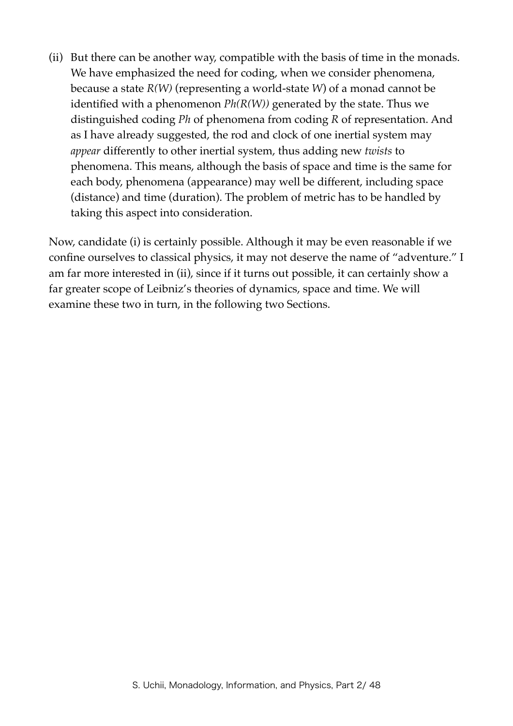(ii) But there can be another way, compatible with the basis of time in the monads. We have emphasized the need for coding, when we consider phenomena, because a state *R(W)* (representing a world-state *W*) of a monad cannot be identified with a phenomenon *Ph(R(W))* generated by the state. Thus we distinguished coding *Ph* of phenomena from coding *R* of representation. And as I have already suggested, the rod and clock of one inertial system may *appear* differently to other inertial system, thus adding new *twists* to phenomena. This means, although the basis of space and time is the same for each body, phenomena (appearance) may well be different, including space (distance) and time (duration). The problem of metric has to be handled by taking this aspect into consideration.

Now, candidate (i) is certainly possible. Although it may be even reasonable if we confine ourselves to classical physics, it may not deserve the name of "adventure." I am far more interested in (ii), since if it turns out possible, it can certainly show a far greater scope of Leibniz's theories of dynamics, space and time. We will examine these two in turn, in the following two Sections.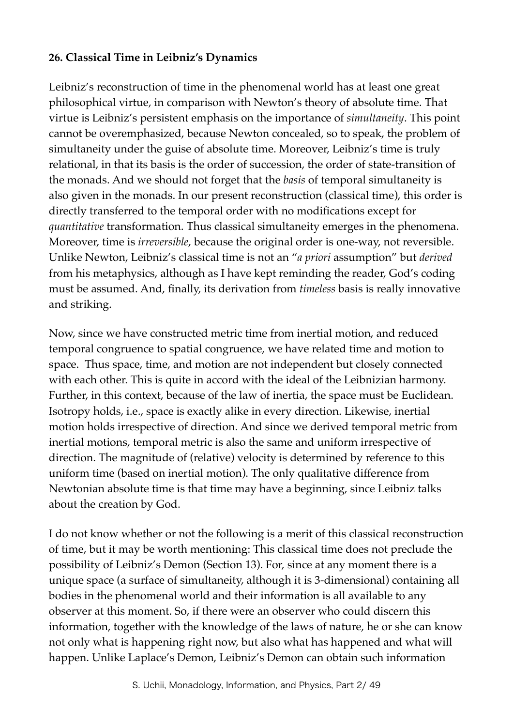#### **26. Classical Time in Leibniz's Dynamics**

Leibniz's reconstruction of time in the phenomenal world has at least one great philosophical virtue, in comparison with Newton's theory of absolute time. That virtue is Leibniz's persistent emphasis on the importance of *simultaneity*. This point cannot be overemphasized, because Newton concealed, so to speak, the problem of simultaneity under the guise of absolute time. Moreover, Leibniz's time is truly relational, in that its basis is the order of succession, the order of state-transition of the monads. And we should not forget that the *basis* of temporal simultaneity is also given in the monads. In our present reconstruction (classical time), this order is directly transferred to the temporal order with no modifications except for *quantitative* transformation. Thus classical simultaneity emerges in the phenomena. Moreover, time is *irreversible*, because the original order is one-way, not reversible. Unlike Newton, Leibniz's classical time is not an "*a priori* assumption" but *derived* from his metaphysics, although as I have kept reminding the reader, God's coding must be assumed. And, finally, its derivation from *timeless* basis is really innovative and striking.

Now, since we have constructed metric time from inertial motion, and reduced temporal congruence to spatial congruence, we have related time and motion to space. Thus space, time, and motion are not independent but closely connected with each other. This is quite in accord with the ideal of the Leibnizian harmony. Further, in this context, because of the law of inertia, the space must be Euclidean. Isotropy holds, i.e., space is exactly alike in every direction. Likewise, inertial motion holds irrespective of direction. And since we derived temporal metric from inertial motions, temporal metric is also the same and uniform irrespective of direction. The magnitude of (relative) velocity is determined by reference to this uniform time (based on inertial motion). The only qualitative difference from Newtonian absolute time is that time may have a beginning, since Leibniz talks about the creation by God.

I do not know whether or not the following is a merit of this classical reconstruction of time, but it may be worth mentioning: This classical time does not preclude the possibility of Leibniz's Demon (Section 13). For, since at any moment there is a unique space (a surface of simultaneity, although it is 3-dimensional) containing all bodies in the phenomenal world and their information is all available to any observer at this moment. So, if there were an observer who could discern this information, together with the knowledge of the laws of nature, he or she can know not only what is happening right now, but also what has happened and what will happen. Unlike Laplace's Demon, Leibniz's Demon can obtain such information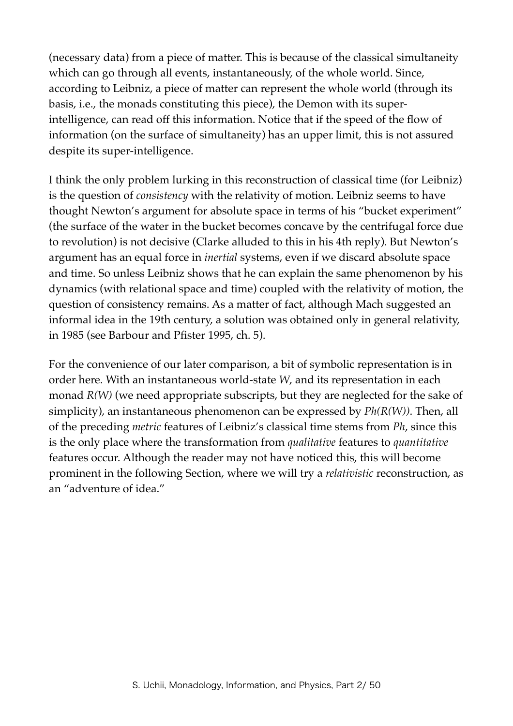(necessary data) from a piece of matter. This is because of the classical simultaneity which can go through all events, instantaneously, of the whole world. Since, according to Leibniz, a piece of matter can represent the whole world (through its basis, i.e., the monads constituting this piece), the Demon with its superintelligence, can read off this information. Notice that if the speed of the flow of information (on the surface of simultaneity) has an upper limit, this is not assured despite its super-intelligence.

I think the only problem lurking in this reconstruction of classical time (for Leibniz) is the question of *consistency* with the relativity of motion. Leibniz seems to have thought Newton's argument for absolute space in terms of his "bucket experiment" (the surface of the water in the bucket becomes concave by the centrifugal force due to revolution) is not decisive (Clarke alluded to this in his 4th reply). But Newton's argument has an equal force in *inertial* systems, even if we discard absolute space and time. So unless Leibniz shows that he can explain the same phenomenon by his dynamics (with relational space and time) coupled with the relativity of motion, the question of consistency remains. As a matter of fact, although Mach suggested an informal idea in the 19th century, a solution was obtained only in general relativity, in 1985 (see Barbour and Pfister 1995, ch. 5).

For the convenience of our later comparison, a bit of symbolic representation is in order here. With an instantaneous world-state *W*, and its representation in each monad *R(W)* (we need appropriate subscripts, but they are neglected for the sake of simplicity), an instantaneous phenomenon can be expressed by *Ph(R(W))*. Then, all of the preceding *metric* features of Leibniz's classical time stems from *Ph*, since this is the only place where the transformation from *qualitative* features to *quantitative* features occur. Although the reader may not have noticed this, this will become prominent in the following Section, where we will try a *relativistic* reconstruction, as an "adventure of idea."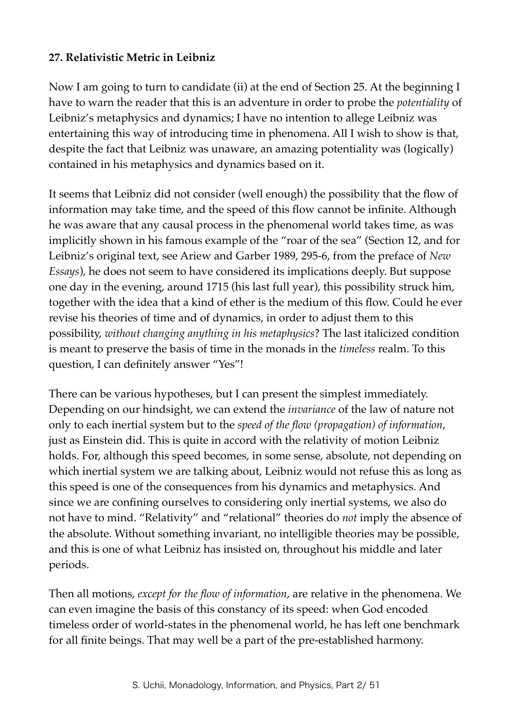## **27. Relativistic Metric in Leibniz**

Now I am going to turn to candidate (ii) at the end of Section 25. At the beginning I have to warn the reader that this is an adventure in order to probe the *potentiality* of Leibniz's metaphysics and dynamics; I have no intention to allege Leibniz was entertaining this way of introducing time in phenomena. All I wish to show is that, despite the fact that Leibniz was unaware, an amazing potentiality was (logically) contained in his metaphysics and dynamics based on it.

It seems that Leibniz did not consider (well enough) the possibility that the flow of information may take time, and the speed of this flow cannot be infinite. Although he was aware that any causal process in the phenomenal world takes time, as was implicitly shown in his famous example of the "roar of the sea" (Section 12, and for Leibniz's original text, see Ariew and Garber 1989, 295-6, from the preface of *New Essays*), he does not seem to have considered its implications deeply. But suppose one day in the evening, around 1715 (his last full year), this possibility struck him, together with the idea that a kind of ether is the medium of this flow. Could he ever revise his theories of time and of dynamics, in order to adjust them to this possibility, *without changing anything in his metaphysics*? The last italicized condition is meant to preserve the basis of time in the monads in the *timeless* realm. To this question, I can definitely answer "Yes"!

There can be various hypotheses, but I can present the simplest immediately. Depending on our hindsight, we can extend the *invariance* of the law of nature not only to each inertial system but to the *speed of the flow (propagation) of information*, just as Einstein did. This is quite in accord with the relativity of motion Leibniz holds. For, although this speed becomes, in some sense, absolute, not depending on which inertial system we are talking about, Leibniz would not refuse this as long as this speed is one of the consequences from his dynamics and metaphysics. And since we are confining ourselves to considering only inertial systems, we also do not have to mind. "Relativity" and "relational" theories do *not* imply the absence of the absolute. Without something invariant, no intelligible theories may be possible, and this is one of what Leibniz has insisted on, throughout his middle and later periods.

Then all motions, *except for the flow of information*, are relative in the phenomena. We can even imagine the basis of this constancy of its speed: when God encoded timeless order of world-states in the phenomenal world, he has left one benchmark for all finite beings. That may well be a part of the pre-established harmony.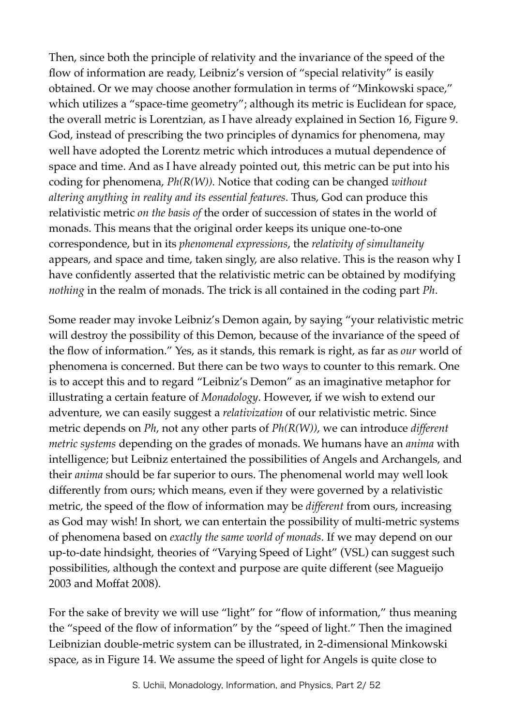Then, since both the principle of relativity and the invariance of the speed of the flow of information are ready, Leibniz's version of "special relativity" is easily obtained. Or we may choose another formulation in terms of "Minkowski space," which utilizes a "space-time geometry"; although its metric is Euclidean for space, the overall metric is Lorentzian, as I have already explained in Section 16, Figure 9. God, instead of prescribing the two principles of dynamics for phenomena, may well have adopted the Lorentz metric which introduces a mutual dependence of space and time. And as I have already pointed out, this metric can be put into his coding for phenomena, *Ph(R(W)).* Notice that coding can be changed *without altering anything in reality and its essential features*. Thus, God can produce this relativistic metric *on the basis of* the order of succession of states in the world of monads. This means that the original order keeps its unique one-to-one correspondence, but in its *phenomenal expressions*, the *relativity of simultaneity* appears, and space and time, taken singly, are also relative. This is the reason why I have confidently asserted that the relativistic metric can be obtained by modifying *nothing* in the realm of monads. The trick is all contained in the coding part *Ph*.

Some reader may invoke Leibniz's Demon again, by saying "your relativistic metric will destroy the possibility of this Demon, because of the invariance of the speed of the flow of information." Yes, as it stands, this remark is right, as far as *our* world of phenomena is concerned. But there can be two ways to counter to this remark. One is to accept this and to regard "Leibniz's Demon" as an imaginative metaphor for illustrating a certain feature of *Monadology*. However, if we wish to extend our adventure, we can easily suggest a *relativization* of our relativistic metric. Since metric depends on *Ph*, not any other parts of *Ph(R(W))*, we can introduce *different metric systems* depending on the grades of monads. We humans have an *anima* with intelligence; but Leibniz entertained the possibilities of Angels and Archangels, and their *anima* should be far superior to ours. The phenomenal world may well look differently from ours; which means, even if they were governed by a relativistic metric, the speed of the flow of information may be *different* from ours, increasing as God may wish! In short, we can entertain the possibility of multi-metric systems of phenomena based on *exactly the same world of monads*. If we may depend on our up-to-date hindsight, theories of "Varying Speed of Light" (VSL) can suggest such possibilities, although the context and purpose are quite different (see Magueijo 2003 and Moffat 2008).

For the sake of brevity we will use "light" for "flow of information," thus meaning the "speed of the flow of information" by the "speed of light." Then the imagined Leibnizian double-metric system can be illustrated, in 2-dimensional Minkowski space, as in Figure 14. We assume the speed of light for Angels is quite close to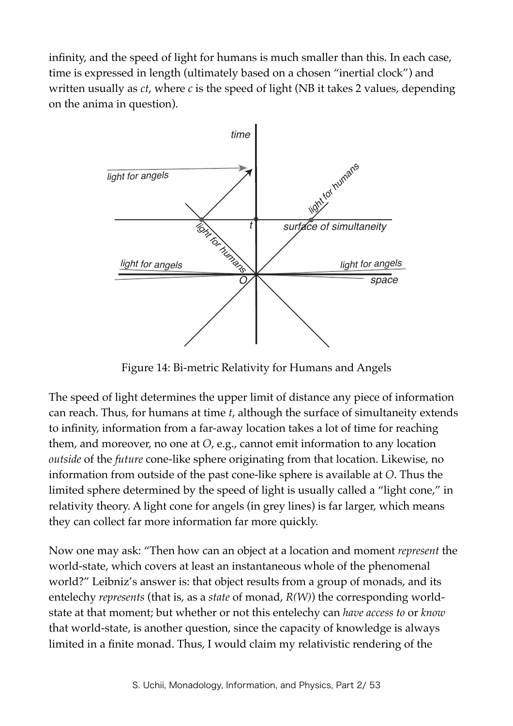infinity, and the speed of light for humans is much smaller than this. In each case, time is expressed in length (ultimately based on a chosen "inertial clock") and written usually as *ct*, where *c* is the speed of light (NB it takes 2 values, depending on the anima in question).



Figure 14: Bi-metric Relativity for Humans and Angels

The speed of light determines the upper limit of distance any piece of information can reach. Thus, for humans at time *t*, although the surface of simultaneity extends to infinity, information from a far-away location takes a lot of time for reaching them, and moreover, no one at *O*, e.g., cannot emit information to any location *outside* of the *future* cone-like sphere originating from that location. Likewise, no information from outside of the past cone-like sphere is available at *O*. Thus the limited sphere determined by the speed of light is usually called a "light cone," in relativity theory. A light cone for angels (in grey lines) is far larger, which means they can collect far more information far more quickly.

Now one may ask: "Then how can an object at a location and moment *represent* the world-state, which covers at least an instantaneous whole of the phenomenal world?" Leibniz's answer is: that object results from a group of monads, and its entelechy *represents* (that is, as a *state* of monad, *R(W)*) the corresponding worldstate at that moment; but whether or not this entelechy can *have access to* or *know* that world-state, is another question, since the capacity of knowledge is always limited in a finite monad. Thus, I would claim my relativistic rendering of the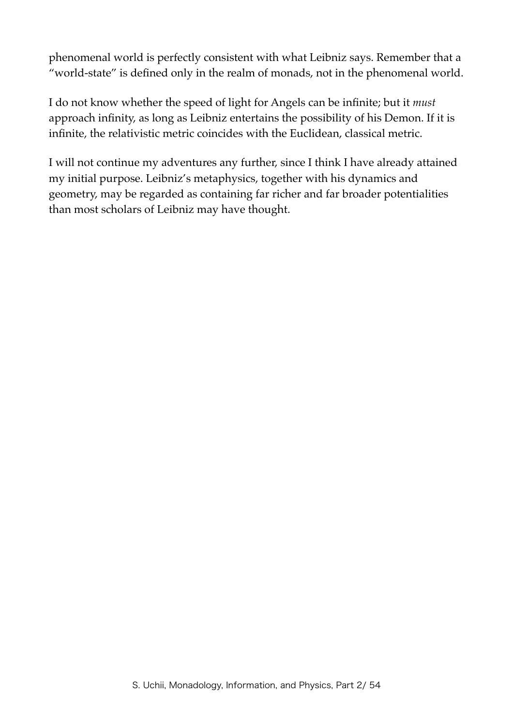phenomenal world is perfectly consistent with what Leibniz says. Remember that a "world-state" is defined only in the realm of monads, not in the phenomenal world.

I do not know whether the speed of light for Angels can be infinite; but it *must* approach infinity, as long as Leibniz entertains the possibility of his Demon. If it is infinite, the relativistic metric coincides with the Euclidean, classical metric.

I will not continue my adventures any further, since I think I have already attained my initial purpose. Leibniz's metaphysics, together with his dynamics and geometry, may be regarded as containing far richer and far broader potentialities than most scholars of Leibniz may have thought.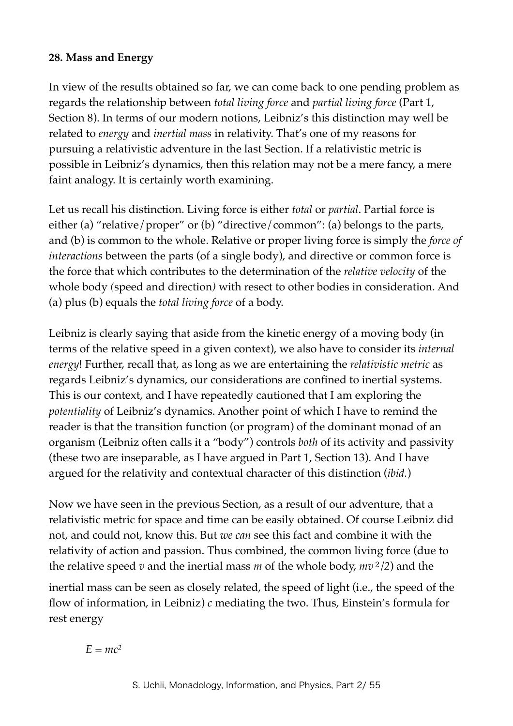## **28. Mass and Energy**

In view of the results obtained so far, we can come back to one pending problem as regards the relationship between *total living force* and *partial living force* (Part 1, Section 8). In terms of our modern notions, Leibniz's this distinction may well be related to *energy* and *inertial mass* in relativity. That's one of my reasons for pursuing a relativistic adventure in the last Section. If a relativistic metric is possible in Leibniz's dynamics, then this relation may not be a mere fancy, a mere faint analogy. It is certainly worth examining.

Let us recall his distinction. Living force is either *total* or *partial*. Partial force is either (a) "relative/proper" or (b) "directive/common": (a) belongs to the parts, and (b) is common to the whole. Relative or proper living force is simply the *force of interactions* between the parts (of a single body), and directive or common force is the force that which contributes to the determination of the *relative velocity* of the whole body *(*speed and direction*)* with resect to other bodies in consideration. And (a) plus (b) equals the *total living force* of a body.

Leibniz is clearly saying that aside from the kinetic energy of a moving body (in terms of the relative speed in a given context), we also have to consider its *internal energy*! Further, recall that, as long as we are entertaining the *relativistic metric* as regards Leibniz's dynamics, our considerations are confined to inertial systems. This is our context, and I have repeatedly cautioned that I am exploring the *potentiality* of Leibniz's dynamics. Another point of which I have to remind the reader is that the transition function (or program) of the dominant monad of an organism (Leibniz often calls it a "body") controls *both* of its activity and passivity (these two are inseparable, as I have argued in Part 1, Section 13). And I have argued for the relativity and contextual character of this distinction (*ibid.*)

Now we have seen in the previous Section, as a result of our adventure, that a relativistic metric for space and time can be easily obtained. Of course Leibniz did not, and could not, know this. But *we can* see this fact and combine it with the relativity of action and passion. Thus combined, the common living force (due to the relative speed *v* and the inertial mass *m* of the whole body, *mv*<sup>2</sup>*/2*) and the

inertial mass can be seen as closely related, the speed of light (i.e., the speed of the flow of information, in Leibniz) *c* mediating the two. Thus, Einstein's formula for rest energy

 $E = mc^2$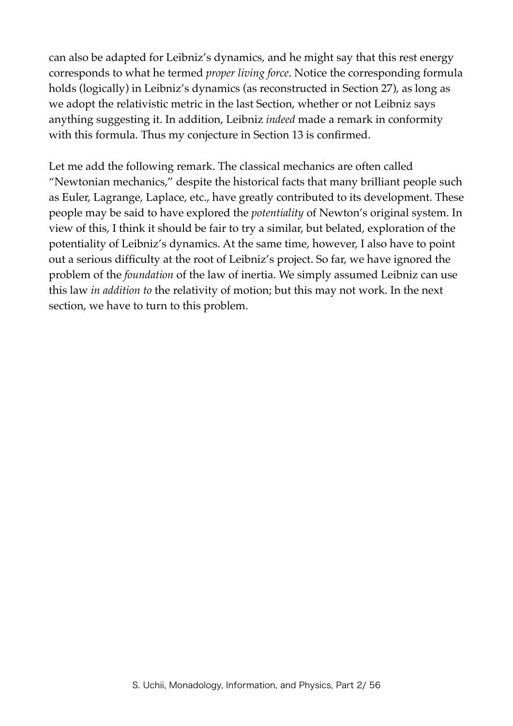can also be adapted for Leibniz's dynamics, and he might say that this rest energy corresponds to what he termed *proper living force*. Notice the corresponding formula holds (logically) in Leibniz's dynamics (as reconstructed in Section 27), as long as we adopt the relativistic metric in the last Section, whether or not Leibniz says anything suggesting it. In addition, Leibniz *indeed* made a remark in conformity with this formula. Thus my conjecture in Section 13 is confirmed.

Let me add the following remark. The classical mechanics are often called "Newtonian mechanics," despite the historical facts that many brilliant people such as Euler, Lagrange, Laplace, etc., have greatly contributed to its development. These people may be said to have explored the *potentiality* of Newton's original system. In view of this, I think it should be fair to try a similar, but belated, exploration of the potentiality of Leibniz's dynamics. At the same time, however, I also have to point out a serious difficulty at the root of Leibniz's project. So far, we have ignored the problem of the *foundation* of the law of inertia. We simply assumed Leibniz can use this law *in addition to* the relativity of motion; but this may not work. In the next section, we have to turn to this problem.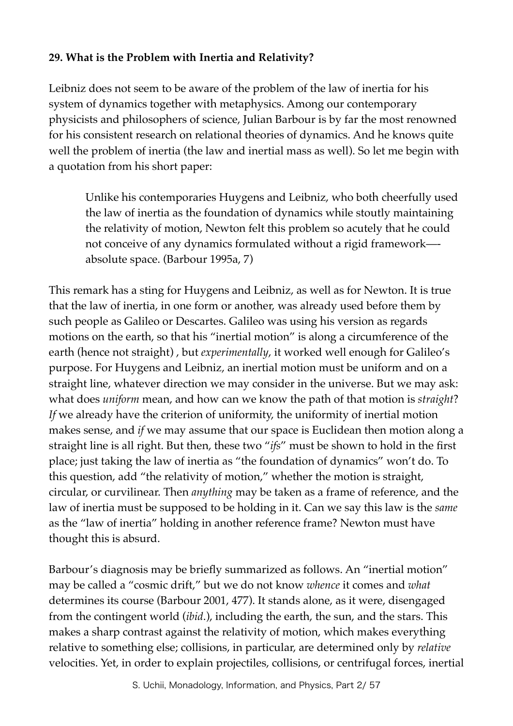# **29. What is the Problem with Inertia and Relativity?**

Leibniz does not seem to be aware of the problem of the law of inertia for his system of dynamics together with metaphysics. Among our contemporary physicists and philosophers of science, Julian Barbour is by far the most renowned for his consistent research on relational theories of dynamics. And he knows quite well the problem of inertia (the law and inertial mass as well). So let me begin with a quotation from his short paper:

Unlike his contemporaries Huygens and Leibniz, who both cheerfully used the law of inertia as the foundation of dynamics while stoutly maintaining the relativity of motion, Newton felt this problem so acutely that he could not conceive of any dynamics formulated without a rigid framework— absolute space. (Barbour 1995a, 7)

This remark has a sting for Huygens and Leibniz, as well as for Newton. It is true that the law of inertia, in one form or another, was already used before them by such people as Galileo or Descartes. Galileo was using his version as regards motions on the earth, so that his "inertial motion" is along a circumference of the earth (hence not straight) , but *experimentally*, it worked well enough for Galileo's purpose. For Huygens and Leibniz, an inertial motion must be uniform and on a straight line, whatever direction we may consider in the universe. But we may ask: what does *uniform* mean, and how can we know the path of that motion is *straight*? *If* we already have the criterion of uniformity, the uniformity of inertial motion makes sense, and *if* we may assume that our space is Euclidean then motion along a straight line is all right. But then, these two "*ifs*" must be shown to hold in the first place; just taking the law of inertia as "the foundation of dynamics" won't do. To this question, add "the relativity of motion," whether the motion is straight, circular, or curvilinear. Then *anything* may be taken as a frame of reference, and the law of inertia must be supposed to be holding in it. Can we say this law is the *same* as the "law of inertia" holding in another reference frame? Newton must have thought this is absurd.

Barbour's diagnosis may be briefly summarized as follows. An "inertial motion" may be called a "cosmic drift," but we do not know *whence* it comes and *what* determines its course (Barbour 2001, 477). It stands alone, as it were, disengaged from the contingent world (*ibid*.), including the earth, the sun, and the stars. This makes a sharp contrast against the relativity of motion, which makes everything relative to something else; collisions, in particular, are determined only by *relative* velocities. Yet, in order to explain projectiles, collisions, or centrifugal forces, inertial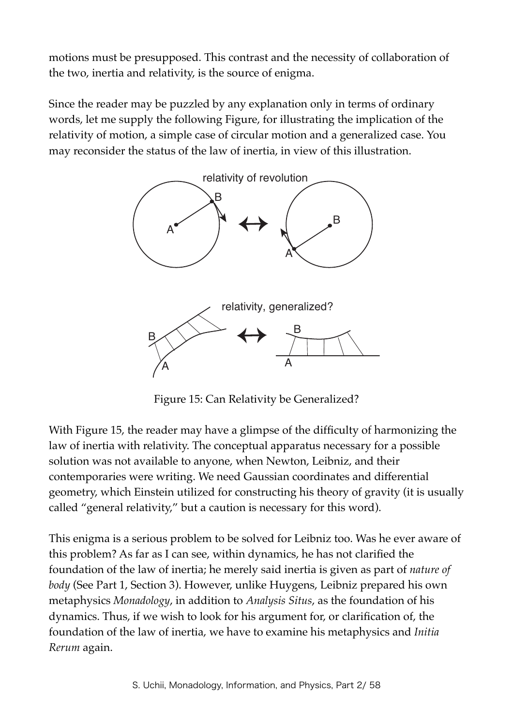motions must be presupposed. This contrast and the necessity of collaboration of the two, inertia and relativity, is the source of enigma.

Since the reader may be puzzled by any explanation only in terms of ordinary words, let me supply the following Figure, for illustrating the implication of the relativity of motion, a simple case of circular motion and a generalized case. You may reconsider the status of the law of inertia, in view of this illustration.



Figure 15: Can Relativity be Generalized?

With Figure 15, the reader may have a glimpse of the difficulty of harmonizing the law of inertia with relativity. The conceptual apparatus necessary for a possible solution was not available to anyone, when Newton, Leibniz, and their contemporaries were writing. We need Gaussian coordinates and differential geometry, which Einstein utilized for constructing his theory of gravity (it is usually called "general relativity," but a caution is necessary for this word).

This enigma is a serious problem to be solved for Leibniz too. Was he ever aware of this problem? As far as I can see, within dynamics, he has not clarified the foundation of the law of inertia; he merely said inertia is given as part of *nature of body* (See Part 1, Section 3). However, unlike Huygens, Leibniz prepared his own metaphysics *Monadology*, in addition to *Analysis Situs*, as the foundation of his dynamics. Thus, if we wish to look for his argument for, or clarification of, the foundation of the law of inertia, we have to examine his metaphysics and *Initia Rerum* again.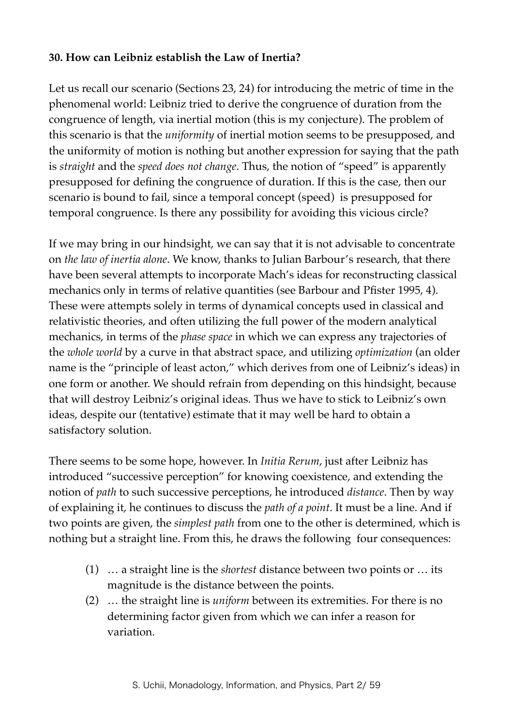## **30. How can Leibniz establish the Law of Inertia?**

Let us recall our scenario (Sections 23, 24) for introducing the metric of time in the phenomenal world: Leibniz tried to derive the congruence of duration from the congruence of length, via inertial motion (this is my conjecture). The problem of this scenario is that the *uniformity* of inertial motion seems to be presupposed, and the uniformity of motion is nothing but another expression for saying that the path is *straight* and the *speed does not change*. Thus, the notion of "speed" is apparently presupposed for defining the congruence of duration. If this is the case, then our scenario is bound to fail, since a temporal concept (speed) is presupposed for temporal congruence. Is there any possibility for avoiding this vicious circle?

If we may bring in our hindsight, we can say that it is not advisable to concentrate on *the law of inertia alone*. We know, thanks to Julian Barbour's research, that there have been several attempts to incorporate Mach's ideas for reconstructing classical mechanics only in terms of relative quantities (see Barbour and Pfister 1995, 4). These were attempts solely in terms of dynamical concepts used in classical and relativistic theories, and often utilizing the full power of the modern analytical mechanics, in terms of the *phase space* in which we can express any trajectories of the *whole world* by a curve in that abstract space, and utilizing *optimization* (an older name is the "principle of least acton," which derives from one of Leibniz's ideas) in one form or another. We should refrain from depending on this hindsight, because that will destroy Leibniz's original ideas. Thus we have to stick to Leibniz's own ideas, despite our (tentative) estimate that it may well be hard to obtain a satisfactory solution.

There seems to be some hope, however. In *Initia Rerum*, just after Leibniz has introduced "successive perception" for knowing coexistence, and extending the notion of *path* to such successive perceptions, he introduced *distance*. Then by way of explaining it, he continues to discuss the *path of a point*. It must be a line. And if two points are given, the *simplest path* from one to the other is determined, which is nothing but a straight line. From this, he draws the following four consequences:

- (1) … a straight line is the *shortest* distance between two points or … its magnitude is the distance between the points.
- (2) … the straight line is *uniform* between its extremities. For there is no determining factor given from which we can infer a reason for variation.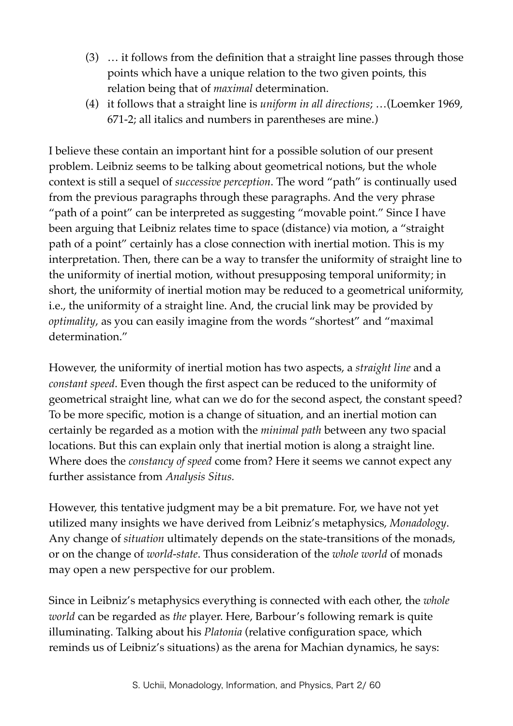- (3) … it follows from the definition that a straight line passes through those points which have a unique relation to the two given points, this relation being that of *maximal* determination.
- (4) it follows that a straight line is *uniform in all directions*; …(Loemker 1969, 671-2; all italics and numbers in parentheses are mine.)

I believe these contain an important hint for a possible solution of our present problem. Leibniz seems to be talking about geometrical notions, but the whole context is still a sequel of *successive perception*. The word "path" is continually used from the previous paragraphs through these paragraphs. And the very phrase "path of a point" can be interpreted as suggesting "movable point." Since I have been arguing that Leibniz relates time to space (distance) via motion, a "straight path of a point" certainly has a close connection with inertial motion. This is my interpretation. Then, there can be a way to transfer the uniformity of straight line to the uniformity of inertial motion, without presupposing temporal uniformity; in short, the uniformity of inertial motion may be reduced to a geometrical uniformity, i.e., the uniformity of a straight line. And, the crucial link may be provided by *optimality*, as you can easily imagine from the words "shortest" and "maximal determination."

However, the uniformity of inertial motion has two aspects, a *straight line* and a *constant speed*. Even though the first aspect can be reduced to the uniformity of geometrical straight line, what can we do for the second aspect, the constant speed? To be more specific, motion is a change of situation, and an inertial motion can certainly be regarded as a motion with the *minimal path* between any two spacial locations. But this can explain only that inertial motion is along a straight line. Where does the *constancy of speed* come from? Here it seems we cannot expect any further assistance from *Analysis Situs.*

However, this tentative judgment may be a bit premature. For, we have not yet utilized many insights we have derived from Leibniz's metaphysics, *Monadology*. Any change of *situation* ultimately depends on the state-transitions of the monads, or on the change of *world-state*. Thus consideration of the *whole world* of monads may open a new perspective for our problem.

Since in Leibniz's metaphysics everything is connected with each other, the *whole world* can be regarded as *the* player. Here, Barbour's following remark is quite illuminating. Talking about his *Platonia* (relative configuration space, which reminds us of Leibniz's situations) as the arena for Machian dynamics, he says: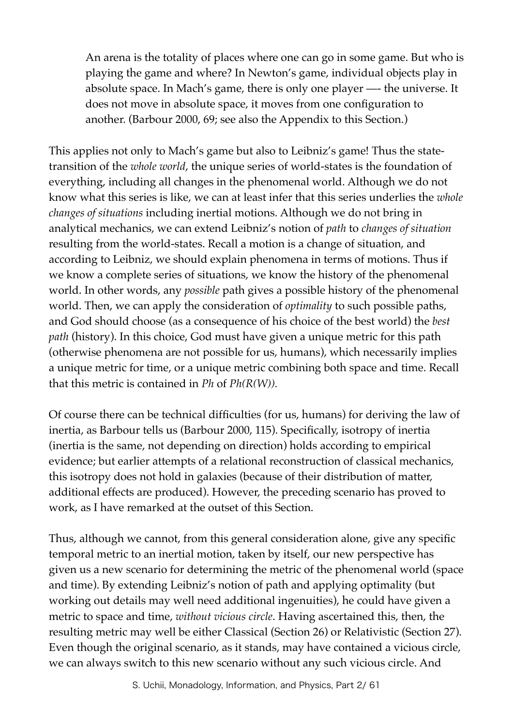An arena is the totality of places where one can go in some game. But who is playing the game and where? In Newton's game, individual objects play in absolute space. In Mach's game, there is only one player —- the universe. It does not move in absolute space, it moves from one configuration to another. (Barbour 2000, 69; see also the Appendix to this Section.)

This applies not only to Mach's game but also to Leibniz's game! Thus the statetransition of the *whole world*, the unique series of world-states is the foundation of everything, including all changes in the phenomenal world. Although we do not know what this series is like, we can at least infer that this series underlies the *whole changes of situations* including inertial motions. Although we do not bring in analytical mechanics, we can extend Leibniz's notion of *path* to *changes of situation* resulting from the world-states. Recall a motion is a change of situation, and according to Leibniz, we should explain phenomena in terms of motions. Thus if we know a complete series of situations, we know the history of the phenomenal world. In other words, any *possible* path gives a possible history of the phenomenal world. Then, we can apply the consideration of *optimality* to such possible paths, and God should choose (as a consequence of his choice of the best world) the *best path* (history). In this choice, God must have given a unique metric for this path (otherwise phenomena are not possible for us, humans), which necessarily implies a unique metric for time, or a unique metric combining both space and time. Recall that this metric is contained in *Ph* of *Ph(R(W)).*

Of course there can be technical difficulties (for us, humans) for deriving the law of inertia, as Barbour tells us (Barbour 2000, 115). Specifically, isotropy of inertia (inertia is the same, not depending on direction) holds according to empirical evidence; but earlier attempts of a relational reconstruction of classical mechanics, this isotropy does not hold in galaxies (because of their distribution of matter, additional effects are produced). However, the preceding scenario has proved to work, as I have remarked at the outset of this Section.

Thus, although we cannot, from this general consideration alone, give any specific temporal metric to an inertial motion, taken by itself, our new perspective has given us a new scenario for determining the metric of the phenomenal world (space and time). By extending Leibniz's notion of path and applying optimality (but working out details may well need additional ingenuities), he could have given a metric to space and time, *without vicious circle*. Having ascertained this, then, the resulting metric may well be either Classical (Section 26) or Relativistic (Section 27). Even though the original scenario, as it stands, may have contained a vicious circle, we can always switch to this new scenario without any such vicious circle. And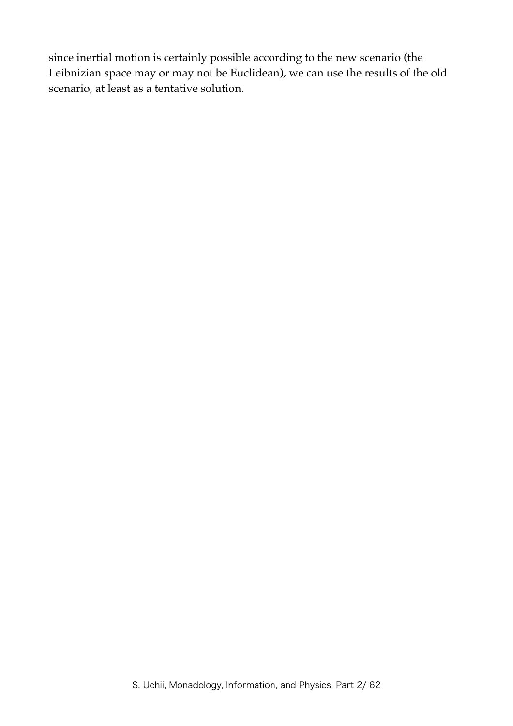since inertial motion is certainly possible according to the new scenario (the Leibnizian space may or may not be Euclidean), we can use the results of the old scenario, at least as a tentative solution.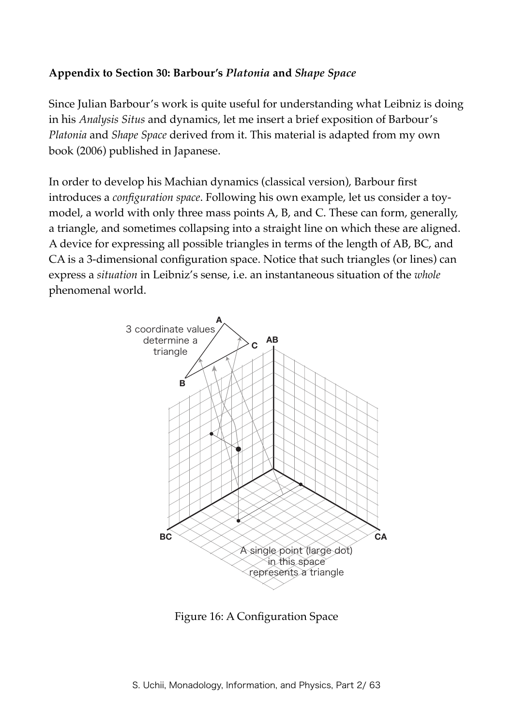#### **Appendix to Section 30: Barbour's** *Platonia* **and** *Shape Space*

Since Julian Barbour's work is quite useful for understanding what Leibniz is doing in his *Analysis Situs* and dynamics, let me insert a brief exposition of Barbour's *Platonia* and *Shape Space* derived from it. This material is adapted from my own book (2006) published in Japanese.

In order to develop his Machian dynamics (classical version), Barbour first introduces a *configuration space*. Following his own example, let us consider a toymodel, a world with only three mass points A, B, and C. These can form, generally, a triangle, and sometimes collapsing into a straight line on which these are aligned. A device for expressing all possible triangles in terms of the length of AB, BC, and CA is a 3-dimensional configuration space. Notice that such triangles (or lines) can express a *situation* in Leibniz's sense, i.e. an instantaneous situation of the *whole* phenomenal world.



Figure 16: A Configuration Space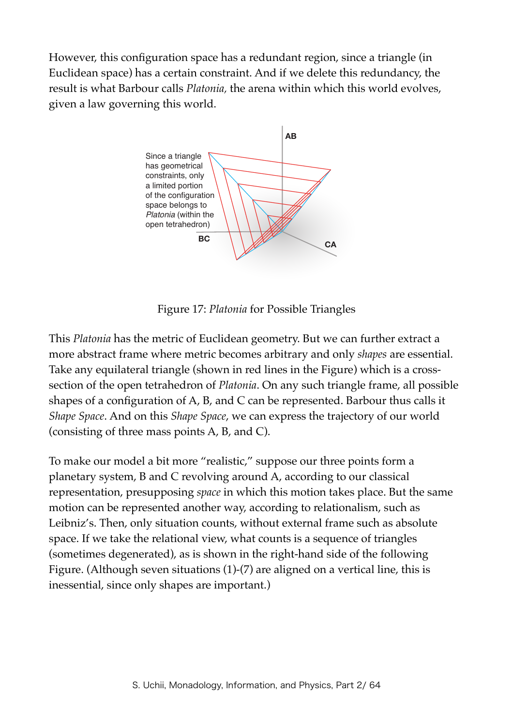However, this configuration space has a redundant region, since a triangle (in Euclidean space) has a certain constraint. And if we delete this redundancy, the result is what Barbour calls *Platonia,* the arena within which this world evolves, given a law governing this world.



Figure 17: *Platonia* for Possible Triangles

This *Platonia* has the metric of Euclidean geometry. But we can further extract a more abstract frame where metric becomes arbitrary and only *shapes* are essential. Take any equilateral triangle (shown in red lines in the Figure) which is a crosssection of the open tetrahedron of *Platonia*. On any such triangle frame, all possible shapes of a configuration of A, B, and C can be represented. Barbour thus calls it *Shape Space*. And on this *Shape Space*, we can express the trajectory of our world (consisting of three mass points A, B, and C).

To make our model a bit more "realistic," suppose our three points form a planetary system, B and C revolving around A, according to our classical representation, presupposing *space* in which this motion takes place. But the same motion can be represented another way, according to relationalism, such as Leibniz's. Then, only situation counts, without external frame such as absolute space. If we take the relational view, what counts is a sequence of triangles (sometimes degenerated), as is shown in the right-hand side of the following Figure. (Although seven situations (1)-(7) are aligned on a vertical line, this is inessential, since only shapes are important.)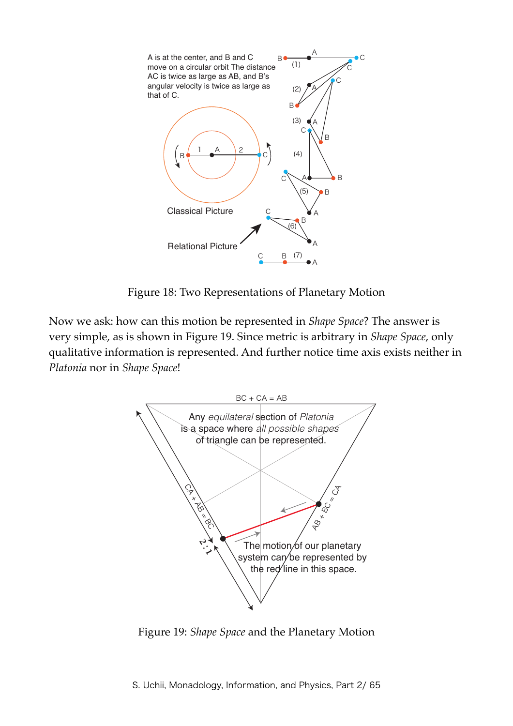

Figure 18: Two Representations of Planetary Motion

Now we ask: how can this motion be represented in *Shape Space*? The answer is very simple, as is shown in Figure 19. Since metric is arbitrary in *Shape Space*, only qualitative information is represented. And further notice time axis exists neither in *Platonia* nor in *Shape Space*!



Figure 19: *Shape Space* and the Planetary Motion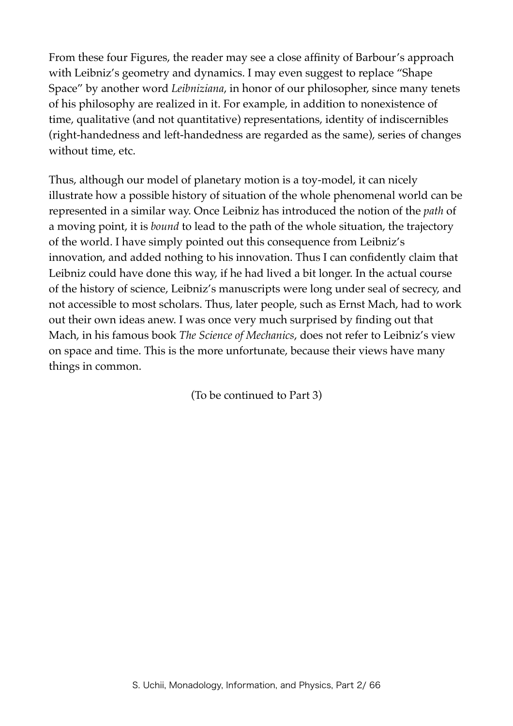From these four Figures, the reader may see a close affinity of Barbour's approach with Leibniz's geometry and dynamics. I may even suggest to replace "Shape Space" by another word *Leibniziana*, in honor of our philosopher, since many tenets of his philosophy are realized in it. For example, in addition to nonexistence of time, qualitative (and not quantitative) representations, identity of indiscernibles (right-handedness and left-handedness are regarded as the same), series of changes without time, etc.

Thus, although our model of planetary motion is a toy-model, it can nicely illustrate how a possible history of situation of the whole phenomenal world can be represented in a similar way. Once Leibniz has introduced the notion of the *path* of a moving point, it is *bound* to lead to the path of the whole situation, the trajectory of the world. I have simply pointed out this consequence from Leibniz's innovation, and added nothing to his innovation. Thus I can confidently claim that Leibniz could have done this way, if he had lived a bit longer. In the actual course of the history of science, Leibniz's manuscripts were long under seal of secrecy, and not accessible to most scholars. Thus, later people, such as Ernst Mach, had to work out their own ideas anew. I was once very much surprised by finding out that Mach, in his famous book *The Science of Mechanics*, does not refer to Leibniz's view on space and time. This is the more unfortunate, because their views have many things in common.

(To be continued to Part 3)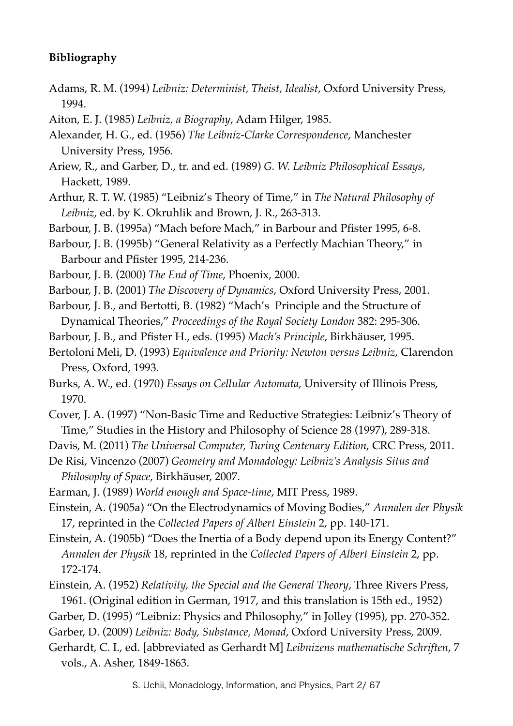## **Bibliography**

- Adams, R. M. (1994) *Leibniz: Determinist, Theist, Idealist*, Oxford University Press, 1994.
- Aiton, E. J. (1985) *Leibniz, a Biography*, Adam Hilger, 1985.
- Alexander, H. G., ed. (1956) *The Leibniz-Clarke Correspondence*, Manchester University Press, 1956.
- Ariew, R., and Garber, D., tr. and ed. (1989) *G. W. Leibniz Philosophical Essays*, Hackett, 1989.
- Arthur, R. T. W. (1985) "Leibniz's Theory of Time," in *The Natural Philosophy of Leibniz*, ed. by K. Okruhlik and Brown, J. R., 263-313.
- Barbour, J. B. (1995a) "Mach before Mach," in Barbour and Pfister 1995, 6-8.
- Barbour, J. B. (1995b) "General Relativity as a Perfectly Machian Theory," in Barbour and Pfister 1995, 214-236.
- Barbour, J. B. (2000) *The End of Time*, Phoenix, 2000.
- Barbour, J. B. (2001) *The Discovery of Dynamics*, Oxford University Press, 2001.
- Barbour, J. B., and Bertotti, B. (1982) "Mach's Principle and the Structure of Dynamical Theories," *Proceedings of the Royal Society London* 382: 295-306.
- Barbour, J. B., and Pfister H., eds. (1995) *Mach's Principle*, Birkhäuser, 1995.
- Bertoloni Meli, D. (1993) *Equivalence and Priority: Newton versus Leibniz*, Clarendon Press, Oxford, 1993.
- Burks, A. W., ed. (1970) *Essays on Cellular Automata*, University of Illinois Press, 1970.
- Cover, J. A. (1997) "Non-Basic Time and Reductive Strategies: Leibniz's Theory of Time," Studies in the History and Philosophy of Science 28 (1997), 289-318.
- Davis, M. (2011) *The Universal Computer, Turing Centenary Edition*, CRC Press, 2011.
- De Risi, Vincenzo (2007) *Geometry and Monadology: Leibniz's Analysis Situs and Philosophy of Space*, Birkhäuser, 2007.
- Earman, J. (1989) *World enough and Space-time*, MIT Press, 1989.
- Einstein, A. (1905a) "On the Electrodynamics of Moving Bodies," *Annalen der Physik* 17, reprinted in the *Collected Papers of Albert Einstein* 2, pp. 140-171.
- Einstein, A. (1905b) "Does the Inertia of a Body depend upon its Energy Content?" *Annalen der Physik* 18, reprinted in the *Collected Papers of Albert Einstein* 2, pp. 172-174.
- Einstein, A. (1952) *Relativity, the Special and the General Theory*, Three Rivers Press, 1961. (Original edition in German, 1917, and this translation is 15th ed., 1952)
- Garber, D. (1995) "Leibniz: Physics and Philosophy," in Jolley (1995), pp. 270-352.
- Garber, D. (2009) *Leibniz: Body, Substance, Monad*, Oxford University Press, 2009.
- Gerhardt, C. I., ed. [abbreviated as Gerhardt M] *Leibnizens mathematische Schriften*, 7 vols., A. Asher, 1849-1863.